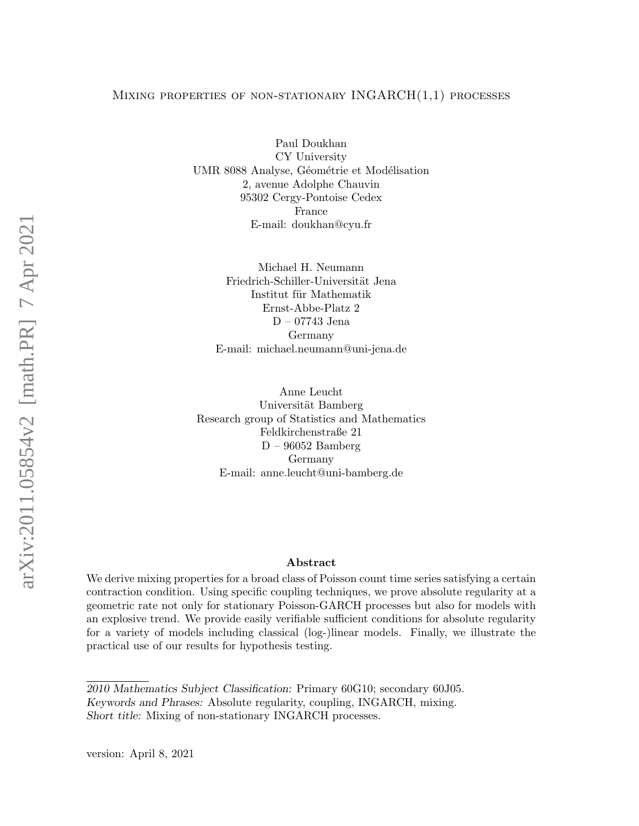### Mixing properties of non-stationary INGARCH(1,1) processes

Paul Doukhan CY University UMR 8088 Analyse, Géométrie et Modélisation 2, avenue Adolphe Chauvin 95302 Cergy-Pontoise Cedex France E-mail: doukhan@cyu.fr

Michael H. Neumann Friedrich-Schiller-Universität Jena Institut für Mathematik Ernst-Abbe-Platz 2 D – 07743 Jena Germany E-mail: michael.neumann@uni-jena.de

Anne Leucht Universität Bamberg Research group of Statistics and Mathematics Feldkirchenstraße 21 D – 96052 Bamberg Germany E-mail: anne.leucht@uni-bamberg.de

# Abstract

We derive mixing properties for a broad class of Poisson count time series satisfying a certain contraction condition. Using specific coupling techniques, we prove absolute regularity at a geometric rate not only for stationary Poisson-GARCH processes but also for models with an explosive trend. We provide easily verifiable sufficient conditions for absolute regularity for a variety of models including classical (log-)linear models. Finally, we illustrate the practical use of our results for hypothesis testing.

<sup>2010</sup> Mathematics Subject Classification: Primary 60G10; secondary 60J05. Keywords and Phrases: Absolute regularity, coupling, INGARCH, mixing. Short title: Mixing of non-stationary INGARCH processes.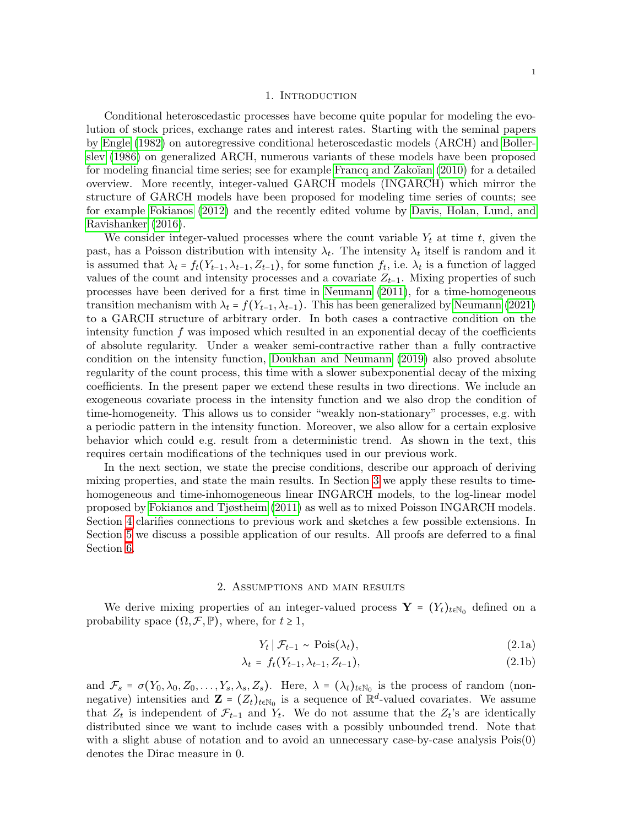#### 1. Introduction

Conditional heteroscedastic processes have become quite popular for modeling the evolution of stock prices, exchange rates and interest rates. Starting with the seminal papers by [Engle \(1982\)](#page-23-0) on autoregressive conditional heteroscedastic models (ARCH) and [Boller](#page-23-1)[slev \(1986\)](#page-23-1) on generalized ARCH, numerous variants of these models have been proposed for modeling financial time series; see for example Francq and Zakoïan (2010) for a detailed overview. More recently, integer-valued GARCH models (INGARCH) which mirror the structure of GARCH models have been proposed for modeling time series of counts; see for example [Fokianos \(2012\)](#page-24-1) and the recently edited volume by [Davis, Holan, Lund, and](#page-23-2) [Ravishanker \(2016\)](#page-23-2).

We consider integer-valued processes where the count variable  $Y_t$  at time t, given the past, has a Poisson distribution with intensity  $\lambda_t$ . The intensity  $\lambda_t$  itself is random and it is assumed that  $\lambda_t = f_t(Y_{t-1}, \lambda_{t-1}, Z_{t-1})$ , for some function  $f_t$ , i.e.  $\lambda_t$  is a function of lagged values of the count and intensity processes and a covariate  $Z_{t-1}$ . Mixing properties of such processes have been derived for a first time in [Neumann \(2011\)](#page-24-2), for a time-homogeneous transition mechanism with  $\lambda_t = f(Y_{t-1}, \lambda_{t-1})$ . This has been generalized by [Neumann \(2021\)](#page-24-3) to a GARCH structure of arbitrary order. In both cases a contractive condition on the intensity function  $f$  was imposed which resulted in an exponential decay of the coefficients of absolute regularity. Under a weaker semi-contractive rather than a fully contractive condition on the intensity function, [Doukhan and Neumann \(2019\)](#page-23-3) also proved absolute regularity of the count process, this time with a slower subexponential decay of the mixing coefficients. In the present paper we extend these results in two directions. We include an exogeneous covariate process in the intensity function and we also drop the condition of time-homogeneity. This allows us to consider "weakly non-stationary" processes, e.g. with a periodic pattern in the intensity function. Moreover, we also allow for a certain explosive behavior which could e.g. result from a deterministic trend. As shown in the text, this requires certain modifications of the techniques used in our previous work.

In the next section, we state the precise conditions, describe our approach of deriving mixing properties, and state the main results. In Section [3](#page-6-0) we apply these results to timehomogeneous and time-inhomogeneous linear INGARCH models, to the log-linear model proposed by [Fokianos and Tjøstheim \(2011\)](#page-24-4) as well as to mixed Poisson INGARCH models. Section [4](#page-9-0) clarifies connections to previous work and sketches a few possible extensions. In Section [5](#page-10-0) we discuss a possible application of our results. All proofs are deferred to a final Section [6.](#page-12-0)

### 2. Assumptions and main results

<span id="page-1-1"></span>We derive mixing properties of an integer-valued process  $\mathbf{Y} = (Y_t)_{t \in \mathbb{N}_0}$  defined on a probability space  $(\Omega, \mathcal{F}, \mathbb{P})$ , where, for  $t \geq 1$ ,

<span id="page-1-0"></span>
$$
Y_t | \mathcal{F}_{t-1} \sim \text{Pois}(\lambda_t), \tag{2.1a}
$$

$$
\lambda_t = f_t(Y_{t-1}, \lambda_{t-1}, Z_{t-1}), \tag{2.1b}
$$

and  $\mathcal{F}_s = \sigma(Y_0, \lambda_0, Z_0, \ldots, Y_s, \lambda_s, Z_s)$ . Here,  $\lambda = (\lambda_t)_{t \in \mathbb{N}_0}$  is the process of random (nonnegative) intensities and  $\mathbf{Z} = (Z_t)_{t \in \mathbb{N}_0}$  is a sequence of  $\mathbb{R}^d$ -valued covariates. We assume that  $Z_t$  is independent of  $\mathcal{F}_{t-1}$  and  $Y_t$ . We do not assume that the  $Z_t$ 's are identically distributed since we want to include cases with a possibly unbounded trend. Note that with a slight abuse of notation and to avoid an unnecessary case-by-case analysis Pois(0) denotes the Dirac measure in 0.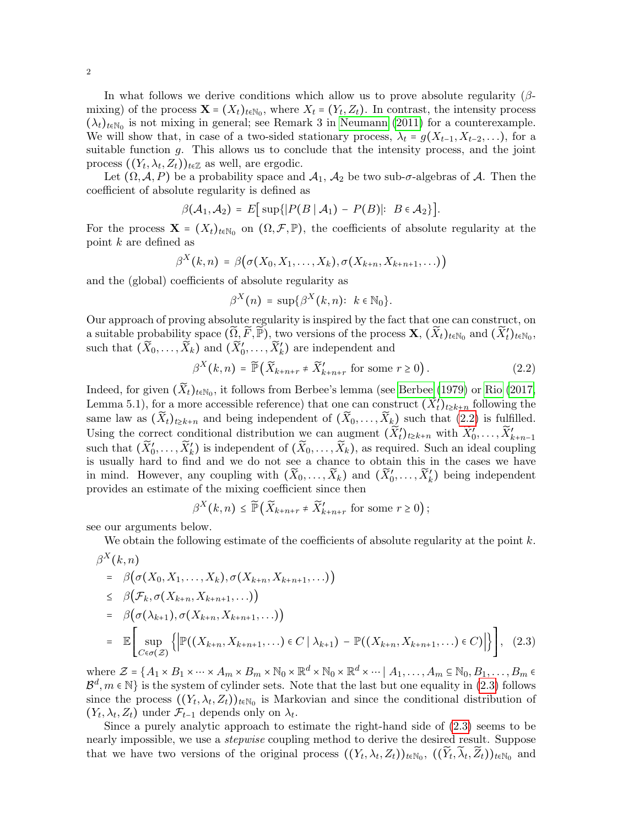In what follows we derive conditions which allow us to prove absolute regularity ( $\beta$ mixing) of the process  $\mathbf{X} = (X_t)_{t \in \mathbb{N}_0}$ , where  $X_t = (Y_t, Z_t)$ . In contrast, the intensity process  $(\lambda_t)_{t \in \mathbb{N}_0}$  is not mixing in general; see Remark 3 in [Neumann \(2011\)](#page-24-2) for a counterexample. We will show that, in case of a two-sided stationary process,  $\lambda_t = g(X_{t-1}, X_{t-2}, \ldots)$ , for a suitable function g. This allows us to conclude that the intensity process, and the joint process  $((Y_t, \lambda_t, Z_t))_{t \in \mathbb{Z}}$  as well, are ergodic.

Let  $(\Omega, \mathcal{A}, P)$  be a probability space and  $\mathcal{A}_1$ ,  $\mathcal{A}_2$  be two sub- $\sigma$ -algebras of  $\mathcal{A}$ . Then the coefficient of absolute regularity is defined as

$$
\beta(\mathcal{A}_1,\mathcal{A}_2) = E[\sup\{|P(B \mid \mathcal{A}_1) - P(B)|: B \in \mathcal{A}_2\}].
$$

For the process  $\mathbf{X} = (X_t)_{t \in \mathbb{N}_0}$  on  $(\Omega, \mathcal{F}, \mathbb{P})$ , the coefficients of absolute regularity at the point k are defined as

$$
\beta^X(k,n) = \beta(\sigma(X_0,X_1,\ldots,X_k),\sigma(X_{k+n},X_{k+n+1},\ldots))
$$

and the (global) coefficients of absolute regularity as

$$
\beta^X(n) = \sup \{ \beta^X(k,n) : k \in \mathbb{N}_0 \}.
$$

Our approach of proving absolute regularity is inspired by the fact that one can construct, on a suitable probability space  $(\widetilde{\Omega}, \widetilde{F}, \widetilde{\mathbb{P}})$ , two versions of the process  $\mathbf{X}, (\widetilde{X}_t)_{t \in \mathbb{N}_0}$  and  $(\widetilde{X}'_t)_{t \in \mathbb{N}_0}$ , such that  $(\widetilde{X}_0,\ldots,\widetilde{X}_k)$  and  $(\widetilde{X}'_0,\ldots,\widetilde{X}'_k)$  are independent and

<span id="page-2-0"></span>
$$
\beta^X(k,n) = \widetilde{\mathbb{P}}\left(\widetilde{X}_{k+n+r} \neq \widetilde{X}_{k+n+r}^{\prime} \text{ for some } r \ge 0\right). \tag{2.2}
$$

Indeed, for given  $(\widetilde{X}_t)_{t \in \mathbb{N}_0}$ , it follows from Berbee's lemma (see [Berbee \(1979\)](#page-23-4) or [Rio \(2017,](#page-24-5) Lemma 5.1), for a more accessible reference) that one can construct  $(\widetilde{X}'_t)_{t\geq k+n}$  following the same law as  $(\widetilde{X}_t)_{t\geq k+n}$  and being independent of  $(\widetilde{X}_0,\ldots,\widetilde{X}_k)$  such that  $(2.2)$  is fulfilled. Using the correct conditional distribution we can augment  $(\widetilde{X}'_t)_{t\geq k+n}$  with  $\widetilde{X}'_0,\ldots,\widetilde{X}'_{k+n-1}$ such that  $(\widetilde{X}'_0,\ldots,\widetilde{X}'_k)$  is independent of  $(\widetilde{X}_0,\ldots,\widetilde{X}_k)$ , as required. Such an ideal coupling is usually hard to find and we do not see a chance to obtain this in the cases we have in mind. However, any coupling with  $(\widetilde{X}_0,\ldots,\widetilde{X}_k)$  and  $(\widetilde{X}'_0,\ldots,\widetilde{X}'_k)$  being independent provides an estimate of the mixing coefficient since then

$$
\beta^X(k,n) \leq \widetilde{\mathbb{P}}\left(\widetilde{X}_{k+n+r} \neq \widetilde{X}'_{k+n+r} \text{ for some } r \geq 0\right);
$$

see our arguments below.

We obtain the following estimate of the coefficients of absolute regularity at the point  $k$ .

<span id="page-2-1"></span>
$$
\beta^{X}(k,n)
$$
\n
$$
= \beta(\sigma(X_{0}, X_{1}, \ldots, X_{k}), \sigma(X_{k+n}, X_{k+n+1}, \ldots))
$$
\n
$$
\leq \beta(\mathcal{F}_{k}, \sigma(X_{k+n}, X_{k+n+1}, \ldots))
$$
\n
$$
= \beta(\sigma(\lambda_{k+1}), \sigma(X_{k+n}, X_{k+n+1}, \ldots))
$$
\n
$$
= \mathbb{E}\left[\sup_{C \in \sigma(Z)} \left\{\left| \mathbb{P}((X_{k+n}, X_{k+n+1}, \ldots) \in C | \lambda_{k+1}) - \mathbb{P}((X_{k+n}, X_{k+n+1}, \ldots) \in C) \right| \right\} \right], (2.3)
$$

where  $\mathcal{Z} = \{A_1 \times B_1 \times \cdots \times A_m \times B_m \times \mathbb{N}_0 \times \mathbb{R}^d \times \mathbb{N}_0 \times \mathbb{R}^d \times \cdots \mid A_1, \ldots, A_m \subseteq \mathbb{N}_0, B_1, \ldots, B_m \in \mathbb{N}_0\}$  $\mathcal{B}^d, m \in \mathbb{N}$  is the system of cylinder sets. Note that the last but one equality in [\(2.3\)](#page-2-1) follows since the process  $((Y_t, \lambda_t, Z_t))_{t \in \mathbb{N}_0}$  is Markovian and since the conditional distribution of  $(Y_t, \lambda_t, Z_t)$  under  $\mathcal{F}_{t-1}$  depends only on  $\lambda_t$ .

Since a purely analytic approach to estimate the right-hand side of [\(2.3\)](#page-2-1) seems to be nearly impossible, we use a stepwise coupling method to derive the desired result. Suppose that we have two versions of the original process  $((Y_t, \lambda_t, Z_t))_{t \in \mathbb{N}_0}$ ,  $((\widetilde{Y}_t, \widetilde{\lambda}_t, \widetilde{Z}_t))_{t \in \mathbb{N}_0}$  and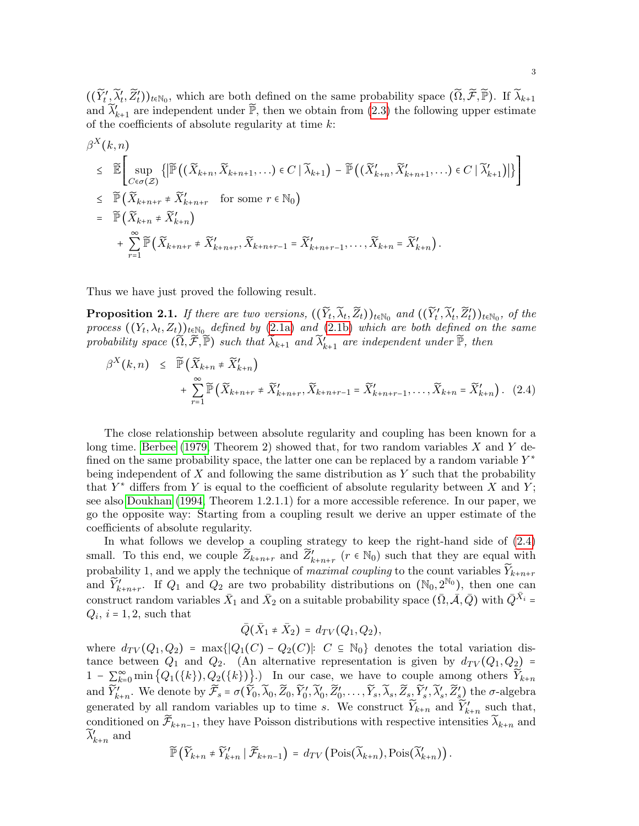$((\widetilde{Y}'_t, \widetilde{\lambda}'_t, \widetilde{Z}'_t))_{t \in \mathbb{N}_0}$ , which are both defined on the same probability space  $(\widetilde{\Omega}, \widetilde{\mathcal{F}}, \widetilde{\mathbb{P}})$ . If  $\widetilde{\lambda}_{k+1}$ and  $\widetilde{\lambda}'_{k+1}$  are independent under  $\widetilde{\mathbb{P}}$ , then we obtain from [\(2.3\)](#page-2-1) the following upper estimate of the coefficients of absolute regularity at time  $k$ :

<span id="page-3-0"></span>
$$
\beta^{X}(k,n) \leq \widetilde{\mathbb{E}} \Bigg[ \sup_{C \in \sigma(Z)} \{ \left| \widetilde{\mathbb{P}} \left( (\widetilde{X}_{k+n}, \widetilde{X}_{k+n+1}, \ldots) \in C \mid \widetilde{\lambda}_{k+1} \right) - \widetilde{\mathbb{P}} \left( (\widetilde{X}_{k+n}', \widetilde{X}_{k+n+1}', \ldots) \in C \mid \widetilde{\lambda}_{k+1}' \right) \} \Bigg] \Bigg] \leq \widetilde{\mathbb{P}} \Big( \widetilde{X}_{k+n+r} \neq \widetilde{X}_{k+n+r}' \quad \text{for some } r \in \mathbb{N}_0 \Big) \n= \widetilde{\mathbb{P}} \Big( \widetilde{X}_{k+n} \neq \widetilde{X}_{k+n}' \Big) \n+ \sum_{r=1}^{\infty} \widetilde{\mathbb{P}} \Big( \widetilde{X}_{k+n+r} \neq \widetilde{X}_{k+n+r}', \widetilde{X}_{k+n+r-1} = \widetilde{X}_{k+n+r-1}', \ldots, \widetilde{X}_{k+n} = \widetilde{X}_{k+n}' \Big) .
$$

Thus we have just proved the following result.

<span id="page-3-1"></span>**Proposition 2.1.** If there are two versions,  $((\widetilde{Y}_t, \widetilde{\lambda}_t, \widetilde{Z}_t))_{t \in \mathbb{N}_0}$  and  $((\widetilde{Y}'_t', \widetilde{\lambda}'_t, \widetilde{Z}'_t))_{t \in \mathbb{N}_0}$ , of the process  $((Y_t, \lambda_t, Z_t))_{t \in \mathbb{N}_0}$  defined by  $(2.1a)$  and  $(2.1b)$  which are both defined on the same probability space  $(\widetilde{\Omega}, \widetilde{\mathcal{F}}, \widetilde{\mathbb{P}})$  such that  $\widetilde{\lambda}_{k+1}$  and  $\widetilde{\lambda}'_{k+1}$  are independent under  $\widetilde{\mathbb{P}}$ , then

$$
\beta^{X}(k,n) \leq \widetilde{\mathbb{P}}\left(\widetilde{X}_{k+n} \neq \widetilde{X}'_{k+n}\right) + \sum_{r=1}^{\infty} \widetilde{\mathbb{P}}\left(\widetilde{X}_{k+n+r} \neq \widetilde{X}'_{k+n+r}, \widetilde{X}_{k+n+r-1} = \widetilde{X}'_{k+n+r-1}, \dots, \widetilde{X}_{k+n} = \widetilde{X}'_{k+n}\right). (2.4)
$$

The close relationship between absolute regularity and coupling has been known for a long time. [Berbee \(1979,](#page-23-4) Theorem 2) showed that, for two random variables  $X$  and  $Y$  defined on the same probability space, the latter one can be replaced by a random variable  $Y^*$ being independent of  $X$  and following the same distribution as  $Y$  such that the probability that  $Y^*$  differs from Y is equal to the coefficient of absolute regularity between X and Y; see also [Doukhan \(1994,](#page-23-5) Theorem 1.2.1.1) for a more accessible reference. In our paper, we go the opposite way: Starting from a coupling result we derive an upper estimate of the coefficients of absolute regularity.

In what follows we develop a coupling strategy to keep the right-hand side of [\(2.4\)](#page-3-0) small. To this end, we couple  $\widetilde{Z}_{k+n+r}$  and  $\widetilde{Z}'_{k+n+r}$   $(r \in \mathbb{N}_0)$  such that they are equal with probability 1, and we apply the technique of *maximal coupling* to the count variables  $\widetilde{Y}_{k+n+r}$ and  $\widetilde{Y}'_{k+n+r}$ . If  $Q_1$  and  $Q_2$  are two probability distributions on  $(\mathbb{N}_0, 2^{\mathbb{N}_0})$ , then one can construct random variables  $\bar{X}_1$  and  $\bar{X}_2$  on a suitable probability space  $(\bar{\Omega}, \bar{\mathcal{A}}, \bar{Q})$  with  $\bar{Q}^{\bar{X}_i}$  =  $Q_i$ ,  $i = 1, 2$ , such that

$$
\bar{Q}(\bar{X}_1 \neq \bar{X}_2) = d_{TV}(Q_1, Q_2),
$$

where  $d_{TV}(Q_1, Q_2) = \max\{|Q_1(C) - Q_2(C)|: C \subseteq \mathbb{N}_0\}$  denotes the total variation distance between  $Q_1$  and  $Q_2$ . (An alternative representation is given by  $d_{TV}(Q_1, Q_2)$  = 1 –  $\sum_{k=0}^{\infty} \min\left\{Q_1(\{k\}), Q_2(\{k\})\right\}$ .) In our case, we have to couple among others  $\widetilde{Y}_{k+n}$ and  $\widetilde{Y}'_{k+n}$ . We denote by  $\widetilde{\mathcal{F}}_s = \sigma(\widetilde{Y}_0, \widetilde{\lambda}_0, \widetilde{Z}_0, \widetilde{Y}'_0, \widetilde{\lambda}'_0, \widetilde{Z}'_0, \ldots, \widetilde{Y}_s, \widetilde{\lambda}_s, \widetilde{Z}_s, \widetilde{Y}'_s, \widetilde{\lambda}'_s, \widetilde{Z}'_s)$  the  $\sigma$ -algebra generated by all random variables up to time s. We construct  $\widetilde{Y}_{k+n}$  and  $\widetilde{Y}'_{k+n}$  such that, conditioned on  $\widetilde{\mathcal{F}}_{k+n-1}$ , they have Poisson distributions with respective intensities  $\widetilde{\lambda}_{k+n}$  and  $\widetilde{\lambda}'_{k+n}$  and

$$
\widetilde{\mathbb{P}}\left(\widetilde{Y}_{k+n} \neq \widetilde{Y}_{k+n}' \mid \widetilde{\mathcal{F}}_{k+n-1}\right) = d_{TV}\left(\mathrm{Pois}(\widetilde{\lambda}_{k+n}), \mathrm{Pois}(\widetilde{\lambda}_{k+n}')\right).
$$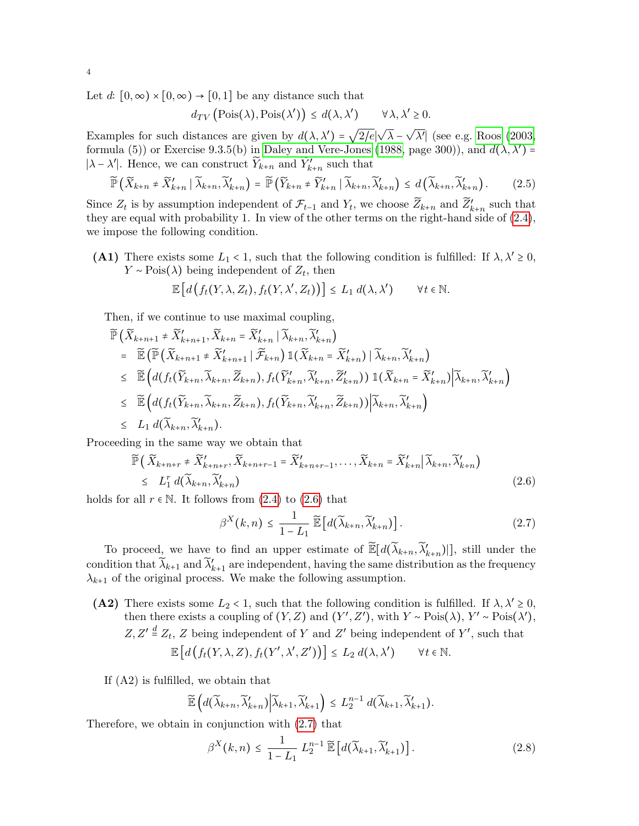Let  $d: [0, \infty) \times [0, \infty) \to [0, 1]$  be any distance such that

$$
d_{TV}\left(\mathrm{Pois}(\lambda), \mathrm{Pois}(\lambda')\right) \le d(\lambda, \lambda') \qquad \forall \lambda, \lambda' \ge 0.
$$

Examples for such distances are given by  $d(\lambda, \lambda') =$ √ 2/e∣ √  $\lambda$  – √  $\overline{\lambda'}$  (see e.g. [Roos \(2003,](#page-24-6) formula (5)) or Exercise 9.3.5(b) in [Daley and Vere-Jones \(1988,](#page-23-6) page 300)), and  $d(\lambda, \lambda')$  = | $\lambda - \lambda'$ |. Hence, we can construct  $\widetilde{Y}_{k+n}$  and  $\widetilde{Y}'_{k+n}$  such that

$$
\widetilde{\mathbb{P}}\left(\widetilde{X}_{k+n} \neq \widetilde{X}_{k+n}' \mid \widetilde{\lambda}_{k+n}, \widetilde{\lambda}_{k+n}'\right) = \widetilde{\mathbb{P}}\left(\widetilde{Y}_{k+n} \neq \widetilde{Y}_{k+n}' \mid \widetilde{\lambda}_{k+n}, \widetilde{\lambda}_{k+n}'\right) \leq d\left(\widetilde{\lambda}_{k+n}, \widetilde{\lambda}_{k+n}'\right). \tag{2.5}
$$

Since  $Z_t$  is by assumption independent of  $\mathcal{F}_{t-1}$  and  $Y_t$ , we choose  $\widetilde{Z}_{k+n}$  and  $\widetilde{Z}'_{k+n}$  such that they are equal with probability 1. In view of the other terms on the right-hand side of  $(2.4)$ , we impose the following condition.

(A1) There exists some  $L_1 < 1$ , such that the following condition is fulfilled: If  $\lambda, \lambda' \geq 0$ ,  $Y \sim \text{Pois}(\lambda)$  being independent of  $Z_t$ , then

$$
\mathbb{E}\left[d\left(f_t(Y,\lambda,Z_t),f_t(Y,\lambda',Z_t)\right)\right] \leq L_1\ d(\lambda,\lambda') \qquad \forall t \in \mathbb{N}.
$$

Then, if we continue to use maximal coupling,

$$
\begin{split}\n\widetilde{\mathbb{P}}\left(\widetilde{X}_{k+n+1} \neq \widetilde{X}_{k+n+1}', \widetilde{X}_{k+n} = \widetilde{X}_{k+n}' \mid \widetilde{\lambda}_{k+n}, \widetilde{\lambda}_{k+n}'\right) \\
&= \widetilde{\mathbb{E}}\left(\widetilde{\mathbb{P}}\left(\widetilde{X}_{k+n+1} \neq \widetilde{X}_{k+n+1}' \mid \widetilde{\mathcal{F}}_{k+n}\right) \mathbb{1}(\widetilde{X}_{k+n} = \widetilde{X}_{k+n}') \mid \widetilde{\lambda}_{k+n}, \widetilde{\lambda}_{k+n}'\right) \\
&\leq \widetilde{\mathbb{E}}\left(d(f_t(\widetilde{Y}_{k+n}, \widetilde{\lambda}_{k+n}, \widetilde{Z}_{k+n}), f_t(\widetilde{Y}_{k+n}', \widetilde{\lambda}_{k+n}', \widetilde{Z}_{k+n}')) \mathbb{1}(\widetilde{X}_{k+n} = \widetilde{X}_{k+n}') \middle| \widetilde{\lambda}_{k+n}, \widetilde{\lambda}_{k+n}'\right) \\
&\leq \widetilde{\mathbb{E}}\left(d(f_t(\widetilde{Y}_{k+n}, \widetilde{\lambda}_{k+n}, \widetilde{Z}_{k+n}), f_t(\widetilde{Y}_{k+n}, \widetilde{\lambda}_{k+n}', \widetilde{Z}_{k+n})) \middle| \widetilde{\lambda}_{k+n}, \widetilde{\lambda}_{k+n}'\right) \\
&\leq L_1 d(\widetilde{\lambda}_{k+n}, \widetilde{\lambda}_{k+n}').\n\end{split}
$$

Proceeding in the same way we obtain that

<span id="page-4-0"></span>
$$
\widetilde{\mathbb{P}}\left(\widetilde{X}_{k+n+r} \neq \widetilde{X}_{k+n+r}^{\prime}, \widetilde{X}_{k+n+r-1} = \widetilde{X}_{k+n+r-1}^{\prime}, \dots, \widetilde{X}_{k+n} = \widetilde{X}_{k+n}^{\prime} \big| \widetilde{\lambda}_{k+n}, \widetilde{\lambda}_{k+n}^{\prime} \right) \leq L_{1}^{r} d(\widetilde{\lambda}_{k+n}, \widetilde{\lambda}_{k+n}^{\prime})
$$
\n(2.6)

holds for all  $r \in \mathbb{N}$ . It follows from [\(2.4\)](#page-3-0) to [\(2.6\)](#page-4-0) that

<span id="page-4-1"></span>
$$
\beta^{X}(k,n) \leq \frac{1}{1-L_1} \widetilde{\mathbb{E}} \left[ d(\widetilde{\lambda}_{k+n}, \widetilde{\lambda}'_{k+n}) \right]. \tag{2.7}
$$

To proceed, we have to find an upper estimate of  $\widetilde{\mathbb{E}}[d(\widetilde{\lambda}_{k+n}, \widetilde{\lambda}'_{k+n})]$ , still under the condition that  $\widetilde{\lambda}_{k+1}$  and  $\widetilde{\lambda}'_{k+1}$  are independent, having the same distribution as the frequency  $\lambda_{k+1}$  of the original process. We make the following assumption.

(A2) There exists some  $L_2 < 1$ , such that the following condition is fulfilled. If  $\lambda, \lambda' \geq 0$ , then there exists a coupling of  $(Y, Z)$  and  $(Y', Z')$ , with  $Y \sim \text{Pois}(\lambda)$ ,  $Y' \sim \text{Pois}(\lambda')$ ,  $Z, Z' \stackrel{d}{=} Z_t, Z$  being independent of Y and Z' being independent of Y', such that  $\mathbb{E}\left[d\big(f_t(Y,\lambda,Z),f_t(Y',\lambda',Z')\big)\right] \leq L_2 d(\lambda,\lambda')$  $\forall t \in \mathbb{N}.$ 

If (A2) is fulfilled, we obtain that

$$
\widetilde{\mathbb{E}}\left(d(\widetilde{\lambda}_{k+n},\widetilde{\lambda}_{k+n}')\Big|\widetilde{\lambda}_{k+1},\widetilde{\lambda}_{k+1}'\right)\leq L_2^{n-1} d(\widetilde{\lambda}_{k+1},\widetilde{\lambda}_{k+1}').
$$

Therefore, we obtain in conjunction with [\(2.7\)](#page-4-1) that

<span id="page-4-2"></span>
$$
\beta^X(k,n) \le \frac{1}{1-L_1} L_2^{n-1} \widetilde{\mathbb{E}} \left[ d(\widetilde{\lambda}_{k+1}, \widetilde{\lambda}'_{k+1}) \right]. \tag{2.8}
$$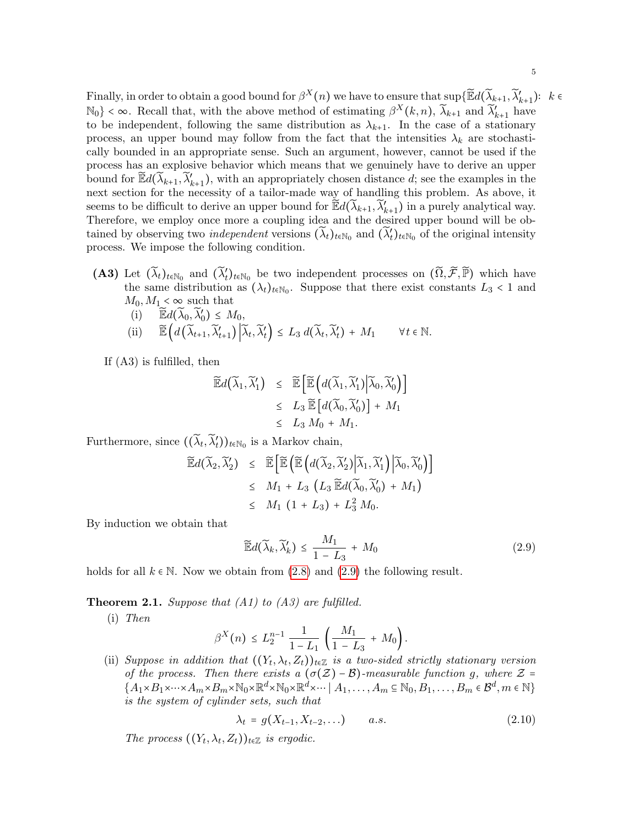Finally, in order to obtain a good bound for  $\beta^X(n)$  we have to ensure that  $\sup\{\widetilde{\mathbb{E}}d(\widetilde{\lambda}_{k+1},\widetilde{\lambda}_{k+1}')\colon k\in$  $\mathbb{N}_0$  <  $\infty$ . Recall that, with the above method of estimating  $\beta^X(k,n)$ ,  $\widetilde{\lambda}_{k+1}$  and  $\widetilde{\lambda}'_{k+1}$  have to be independent, following the same distribution as  $\lambda_{k+1}$ . In the case of a stationary process, an upper bound may follow from the fact that the intensities  $\lambda_k$  are stochastically bounded in an appropriate sense. Such an argument, however, cannot be used if the process has an explosive behavior which means that we genuinely have to derive an upper bound for  $\mathbb{E}d(\widetilde{\lambda}_{k+1}, \widetilde{\lambda}'_{k+1})$ , with an appropriately chosen distance d; see the examples in the next section for the necessity of a tailor-made way of handling this problem. As above, it seems to be difficult to derive an upper bound for  $\widetilde{\mathbb{E}}d(\widetilde{\lambda}_{k+1}, \widetilde{\lambda}'_{k+1})$  in a purely analytical way. Therefore, we employ once more a coupling idea and the desired upper bound will be obtained by observing two *independent* versions  $(\widetilde{\lambda}_t)_{t \in \mathbb{N}_0}$  and  $(\widetilde{\lambda}'_t)_{t \in \mathbb{N}_0}$  of the original intensity process. We impose the following condition.

(A3) Let  $(\widetilde{\lambda}_t)_{t\in\mathbb{N}_0}$  and  $(\widetilde{\lambda}'_t)_{t\in\mathbb{N}_0}$  be two independent processes on  $(\widetilde{\Omega}, \widetilde{\mathcal{F}}, \widetilde{\mathbb{P}})$  which have the same distribution as  $(\lambda_t)_{t \in \mathbb{N}_0}$ . Suppose that there exist constants  $L_3 < 1$  and  $M_0, M_1 < \infty$  such that

(i) 
$$
\widetilde{\mathbb{E}}d(\widetilde{\lambda}_0, \widetilde{\lambda}_0') \leq M_0
$$
,  
\n(ii)  $\widetilde{\mathbb{E}}\left(d(\widetilde{\lambda}_{t+1}, \widetilde{\lambda}_{t+1}') | \widetilde{\lambda}_t, \widetilde{\lambda}_t'\right) \leq L_3 d(\widetilde{\lambda}_t, \widetilde{\lambda}_t') + M_1 \quad \forall t \in \mathbb{N}$ .

If (A3) is fulfilled, then

$$
\widetilde{\mathbb{E}}d(\widetilde{\lambda}_1, \widetilde{\lambda}_1') \leq \widetilde{\mathbb{E}}\Big[\widetilde{\mathbb{E}}\Big(d(\widetilde{\lambda}_1, \widetilde{\lambda}_1') \Big|\widetilde{\lambda}_0, \widetilde{\lambda}_0'\Big)\Big] \leq L_3 \widetilde{\mathbb{E}}\Big[d(\widetilde{\lambda}_0, \widetilde{\lambda}_0')\Big] + M_1 \leq L_3 M_0 + M_1.
$$

Furthermore, since  $((\widetilde{\lambda}_t, \widetilde{\lambda}'_t))_{t \in \mathbb{N}_0}$  is a Markov chain,

$$
\widetilde{\mathbb{E}}d(\widetilde{\lambda}_2, \widetilde{\lambda}_2') \leq \widetilde{\mathbb{E}}\Big[\widetilde{\mathbb{E}}\Big(\widetilde{\mathbb{E}}\Big(d(\widetilde{\lambda}_2, \widetilde{\lambda}_2') \Big|\widetilde{\lambda}_1, \widetilde{\lambda}_1'\Big)\Big|\widetilde{\lambda}_0, \widetilde{\lambda}_0'\Big)\Big] \leq M_1 + L_3(L_3 \widetilde{\mathbb{E}}d(\widetilde{\lambda}_0, \widetilde{\lambda}_0') + M_1) \leq M_1 (1 + L_3) + L_3^2 M_0.
$$

By induction we obtain that

<span id="page-5-0"></span>
$$
\widetilde{\mathbb{E}}d(\widetilde{\lambda}_k, \widetilde{\lambda}'_k) \le \frac{M_1}{1 - L_3} + M_0 \tag{2.9}
$$

holds for all  $k \in \mathbb{N}$ . Now we obtain from [\(2.8\)](#page-4-2) and [\(2.9\)](#page-5-0) the following result.

<span id="page-5-1"></span>**Theorem 2.1.** Suppose that  $(A1)$  to  $(A3)$  are fulfilled.

(i) Then

$$
\beta^X(n) \le L_2^{n-1} \frac{1}{1-L_1} \left( \frac{M_1}{1-L_3} + M_0 \right).
$$

(ii) Suppose in addition that  $((Y_t, \lambda_t, Z_t))_{t \in \mathbb{Z}}$  is a two-sided strictly stationary version of the process. Then there exists a  $(\sigma(\mathcal{Z}) - \mathcal{B})$ -measurable function g, where  $\mathcal{Z} =$  ${A_1\times B_1\times\cdots\times A_m\times B_m\times\mathbb{N}_0\times\mathbb{R}^d\times\cdots\mid A_1,\ldots,A_m\subseteq\mathbb{N}_0,B_1,\ldots,B_m\in\mathcal{B}^d,m\in\mathbb{N}}$ is the system of cylinder sets, such that

<span id="page-5-2"></span>
$$
\lambda_t = g(X_{t-1}, X_{t-2}, \ldots) \qquad a.s. \tag{2.10}
$$

The process  $((Y_t, \lambda_t, Z_t))_{t \in \mathbb{Z}}$  is ergodic.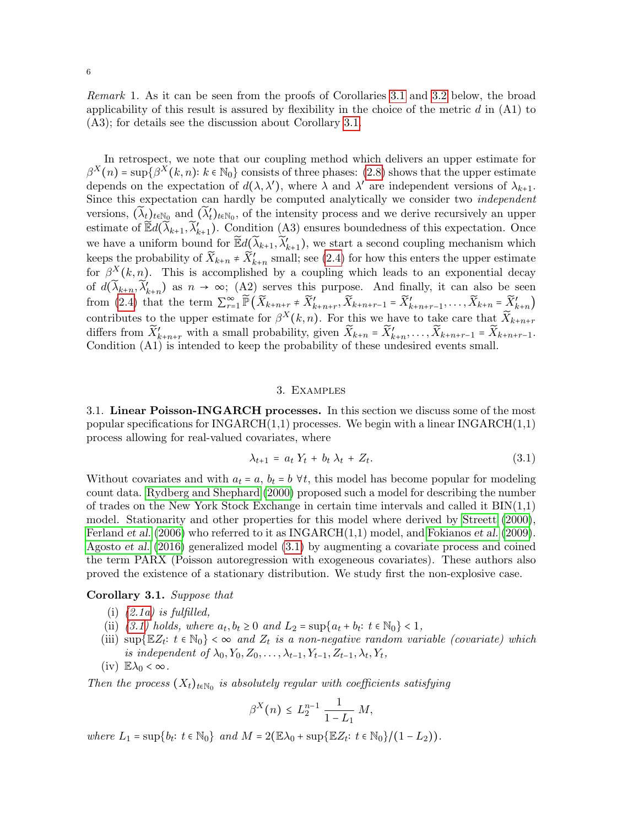Remark 1. As it can be seen from the proofs of Corollaries [3.1](#page-6-1) and [3.2](#page-7-0) below, the broad applicability of this result is assured by flexibility in the choice of the metric  $d$  in  $(A1)$  to (A3); for details see the discussion about Corollary [3.1.](#page-6-1)

In retrospect, we note that our coupling method which delivers an upper estimate for  $\beta^X(n) = \sup \{ \beta^X(k,n) : k \in \mathbb{N}_0 \}$  consists of three phases: [\(2.8\)](#page-4-2) shows that the upper estimate depends on the expectation of  $d(\lambda, \lambda')$ , where  $\lambda$  and  $\lambda'$  are independent versions of  $\lambda_{k+1}$ . Since this expectation can hardly be computed analytically we consider two independent versions,  $(\widetilde{\lambda}_t)_{t \in \mathbb{N}_0}$  and  $(\widetilde{\lambda}'_t)_{t \in \mathbb{N}_0}$ , of the intensity process and we derive recursively an upper estimate of  $\mathbb{E} d(\widetilde{\lambda}_{k+1}, \widetilde{\lambda}'_{k+1})$ . Condition (A3) ensures boundedness of this expectation. Once we have a uniform bound for  $\mathbb{E} d(\widetilde{\lambda}_{k+1}, \widetilde{\lambda}'_{k+1})$ , we start a second coupling mechanism which keeps the probability of  $\widetilde{X}_{k+n}$   $\neq \widetilde{X}'_{k+n}$  small; see [\(2.4\)](#page-3-0) for how this enters the upper estimate for  $\beta^{X}(k,n)$ . This is accomplished by a coupling which leads to an exponential decay of  $d(\widetilde{\lambda}_{k+n}, \widetilde{\lambda}'_{k+n})$  as  $n \to \infty$ ; (A2) serves this purpose. And finally, it can also be seen from [\(2.4\)](#page-3-0) that the term  $\sum_{r=1}^{\infty} \widetilde{P}(\widetilde{X}_{k+n+r} \neq \widetilde{X}'_{k+n+r}, \widetilde{X}_{k+n+r-1} = \widetilde{X}'_{k+n+r-1}, \ldots, \widetilde{X}_{k+n} = \widetilde{X}'_{k+n}$ contributes to the upper estimate for  $\beta^{X}(k,n)$ . For this we have to take care that  $\widetilde{X}_{k+n+r}$ differs from  $\widetilde{X}'_{k+n+r}$  with a small probability, given  $\widetilde{X}_{k+n} = \widetilde{X}'_{k+n}, \ldots, \widetilde{X}_{k+n+r-1} = \widetilde{X}_{k+n+r-1}$ . Condition (A1) is intended to keep the probability of these undesired events small.

# 3. Examples

<span id="page-6-0"></span>3.1. Linear Poisson-INGARCH processes. In this section we discuss some of the most popular specifications for  $INGARCH(1,1)$  processes. We begin with a linear  $INGARCH(1,1)$ process allowing for real-valued covariates, where

<span id="page-6-2"></span>
$$
\lambda_{t+1} = a_t Y_t + b_t \lambda_t + Z_t. \tag{3.1}
$$

Without covariates and with  $a_t = a$ ,  $b_t = b \forall t$ , this model has become popular for modeling count data. [Rydberg and Shephard \(2000\)](#page-24-7) proposed such a model for describing the number of trades on the New York Stock Exchange in certain time intervals and called it  $\text{BIN}(1,1)$ model. Stationarity and other properties for this model where derived by [Streett \(2000\)](#page-24-8), [Ferland](#page-24-9) *et al.* [\(2006\)](#page-24-9) who referred to it as  $INGARCH(1,1)$  model, and [Fokianos](#page-24-10) *et al.* [\(2009\)](#page-24-10). [Agosto](#page-23-7) et al. [\(2016\)](#page-23-7) generalized model [\(3.1\)](#page-6-2) by augmenting a covariate process and coined the term PARX (Poisson autoregression with exogeneous covariates). These authors also proved the existence of a stationary distribution. We study first the non-explosive case.

### <span id="page-6-1"></span>Corollary 3.1. Suppose that

- (i)  $(2.1a)$  is fulfilled,
- (ii)  $(3.1)$  holds, where  $a_t, b_t \geq 0$  and  $L_2 = \sup\{a_t + b_t : t \in \mathbb{N}_0\} < 1$ ,
- (iii)  $\sup \{ \mathbb{E} Z_t : t \in \mathbb{N}_0 \} < \infty$  and  $Z_t$  is a non-negative random variable (covariate) which is independent of  $\lambda_0, Y_0, Z_0, \ldots, \lambda_{t-1}, Y_{t-1}, Z_{t-1}, \lambda_t, Y_t$ ,
- (iv)  $\mathbb{E}\lambda_0 < \infty$ .

Then the process  $(X_t)_{t \in \mathbb{N}_0}$  is absolutely regular with coefficients satisfying

$$
\beta^X(n) \le L_2^{n-1} \frac{1}{1 - L_1} M,
$$

where  $L_1 = \sup\{b_t: t \in \mathbb{N}_0\}$  and  $M = 2(\mathbb{E}\lambda_0 + \sup\{\mathbb{E}Z_t: t \in \mathbb{N}_0\}/(1-L_2)).$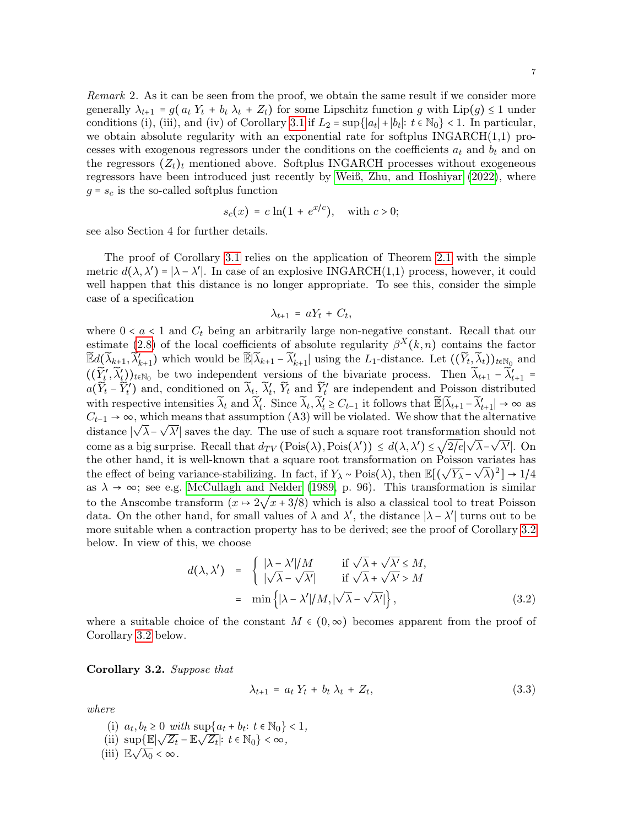<span id="page-7-2"></span>Remark 2. As it can be seen from the proof, we obtain the same result if we consider more generally  $\lambda_{t+1} = g(a_t Y_t + b_t \lambda_t + Z_t)$  for some Lipschitz function g with  $\text{Lip}(g) \leq 1$  under conditions (i), (iii), and (iv) of Corollary [3.1](#page-6-1) if  $L_2 = \sup\{|a_t| + |b_t|: t \in \mathbb{N}_0\} < 1$ . In particular, we obtain absolute regularity with an exponential rate for softplus INGARCH(1,1) processes with exogenous regressors under the conditions on the coefficients  $a_t$  and  $b_t$  and on the regressors  $(Z_t)_t$  mentioned above. Softplus INGARCH processes without exogeneous regressors have been introduced just recently by [Weiß, Zhu, and Hoshiyar \(2022\)](#page-24-11), where  $g = s_c$  is the so-called softplus function

$$
s_c(x) = c \ln(1 + e^{x/c}), \quad \text{with } c > 0;
$$

see also Section 4 for further details.

The proof of Corollary [3.1](#page-6-1) relies on the application of Theorem [2.1](#page-5-1) with the simple metric  $d(\lambda, \lambda') = |\lambda - \lambda'|$ . In case of an explosive INGARCH(1,1) process, however, it could well happen that this distance is no longer appropriate. To see this, consider the simple case of a specification

$$
\lambda_{t+1} = aY_t + C_t,
$$

where  $0 < a < 1$  and  $C_t$  being an arbitrarily large non-negative constant. Recall that our estimate [\(2.8\)](#page-4-2) of the local coefficients of absolute regularity  $\beta^{X}(k,n)$  contains the factor  $\widetilde{\mathbb{E}}d(\widetilde{\lambda}_{k+1}, \widetilde{\lambda}_{k+1}')$  which would be  $\widetilde{\mathbb{E}}|\widetilde{\lambda}_{k+1} - \widetilde{\lambda}_{k+1}'|$  using the L<sub>1</sub>-distance. Let  $((\widetilde{Y}_t, \widetilde{\lambda}_t))_{t \in \mathbb{N}_0}$  and  $((\widetilde{Y}'_t, \widetilde{\lambda}'_t))_{t \in \mathbb{N}_0}$  be two independent versions of the bivariate process. Then  $\widetilde{\lambda}_{t+1} - \widetilde{\lambda}'_{t+1} =$  $a(\widetilde{Y}_t - \widetilde{Y}'_t)$  and, conditioned on  $\widetilde{\lambda}_t$ ,  $\widetilde{Y}_t$ ,  $\widetilde{Y}_t$  and  $\widetilde{Y}'_t$  are independent and Poisson distributed with respective intensities  $\widetilde{\lambda}_t$  and  $\widetilde{\lambda}'_t$ . Since  $\widetilde{\lambda}_t$ ,  $\widetilde{\lambda}'_t \geq C_{t-1}$  it follows that  $\widetilde{\mathbb{E}}|\widetilde{\lambda}_{t+1} - \widetilde{\lambda}'_{t+1}| \to \infty$  as  $C_{t-1} \rightarrow \infty$ , which means that assumption (A3) will be violated. We show that the alternative distance  $|\sqrt{\lambda} - \sqrt{\lambda'}|$  saves the day. The use of such a square root transformation should not come as a big surprise. Recall that  $d_{TV}(\text{Pois}(\lambda), \text{Pois}(\lambda')) \leq d(\lambda, \lambda') \leq \sqrt{2/e} |\sqrt{\lambda} - \sqrt{\lambda'}|$ . On the other hand, it is well-known that a square root transformation on Poisson variates has the effect of being variance-stabilizing. In fact, if  $Y_{\lambda} \sim \text{Pois}(\lambda)$ , then  $\mathbb{E}[(\sqrt{Y_{\lambda}} - \sqrt{\lambda})^2] \to 1/4$ as  $\lambda \to \infty$ ; see e.g. [McCullagh and Nelder \(1989,](#page-24-12) p. 96). This transformation is similar to the Anscombe transform  $(x \mapsto 2\sqrt{x} + 3/8)$  which is also a classical tool to treat Poisson data. On the other hand, for small values of  $\lambda$  and  $\lambda'$ , the distance  $|\lambda - \lambda'|$  turns out to be more suitable when a contraction property has to be derived; see the proof of Corollary [3.2](#page-7-0) below. In view of this, we choose

<span id="page-7-3"></span>
$$
d(\lambda, \lambda') = \begin{cases} |\lambda - \lambda'|/M & \text{if } \sqrt{\lambda} + \sqrt{\lambda'} \le M, \\ |\sqrt{\lambda} - \sqrt{\lambda'}| & \text{if } \sqrt{\lambda} + \sqrt{\lambda'} > M \end{cases}
$$
  
=  $\min \{ |\lambda - \lambda'|/M, |\sqrt{\lambda} - \sqrt{\lambda'}| \},$  (3.2)

where a suitable choice of the constant  $M \in (0, \infty)$  becomes apparent from the proof of Corollary [3.2](#page-7-0) below.

<span id="page-7-0"></span>Corollary 3.2. Suppose that

<span id="page-7-1"></span>
$$
\lambda_{t+1} = a_t Y_t + b_t \lambda_t + Z_t, \qquad (3.3)
$$

where

(i)  $a_t, b_t \ge 0$  with  $\sup\{a_t + b_t : t \in \mathbb{N}_0\} < 1$ , (ii)  $\sup_{t \to \infty} \left\{ \mathbb{E} \middle| \sqrt{Z_t} - \mathbb{E} \sqrt{Z_t} \middle| : t \in \mathbb{N}_0 \right\} < \infty,$ (iii)  $\mathbb{E}\sqrt{\lambda_0} < \infty$ .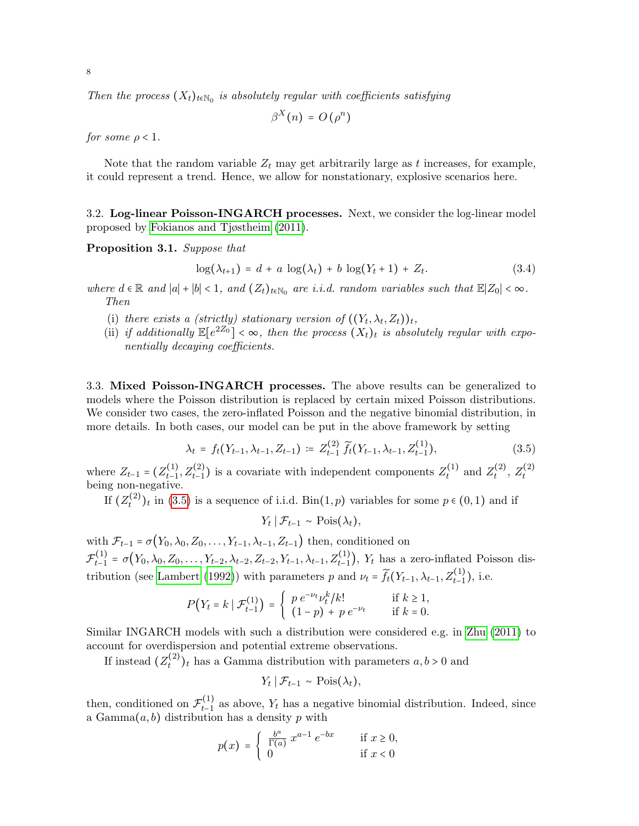Then the process  $(X_t)_{t \in \mathbb{N}_0}$  is absolutely regular with coefficients satisfying

$$
\beta^X(n) = O(\rho^n)
$$

for some  $\rho < 1$ .

Note that the random variable  $Z_t$  may get arbitrarily large as t increases, for example, it could represent a trend. Hence, we allow for nonstationary, explosive scenarios here.

3.2. Log-linear Poisson-INGARCH processes. Next, we consider the log-linear model proposed by [Fokianos and Tjøstheim \(2011\)](#page-24-4).

<span id="page-8-1"></span>Proposition 3.1. Suppose that

<span id="page-8-2"></span>
$$
\log(\lambda_{t+1}) = d + a \, \log(\lambda_t) + b \, \log(Y_t + 1) + Z_t. \tag{3.4}
$$

where  $d \in \mathbb{R}$  and  $|a| + |b| < 1$ , and  $(Z_t)_{t \in \mathbb{N}_0}$  are i.i.d. random variables such that  $\mathbb{E}|Z_0| < \infty$ . Then

- (i) there exists a (strictly) stationary version of  $((Y_t, \lambda_t, Z_t))_t$ ,
- (ii) if additionally  $\mathbb{E}[e^{2Z_0}] < \infty$ , then the process  $(X_t)_t$  is absolutely regular with exponentially decaying coefficients.

3.3. Mixed Poisson-INGARCH processes. The above results can be generalized to models where the Poisson distribution is replaced by certain mixed Poisson distributions. We consider two cases, the zero-inflated Poisson and the negative binomial distribution, in more details. In both cases, our model can be put in the above framework by setting

<span id="page-8-0"></span>
$$
\lambda_t = f_t(Y_{t-1}, \lambda_{t-1}, Z_{t-1}) := Z_{t-1}^{(2)} \widetilde{f}_t(Y_{t-1}, \lambda_{t-1}, Z_{t-1}^{(1)}), \tag{3.5}
$$

where  $Z_{t-1} = (Z_{t-1}^{(1)})$  $t_{t-1}^{(1)}, Z_{t-1}^{(2)}$ ) is a covariate with independent components  $Z_t^{(1)}$  $z_t^{(1)}$  and  $Z_t^{(2)}$  $\zeta_t^{(2)},\,Z_t^{(2)}$ where  $Z_{t-1} - (Z_{t-1}, Z_{t-1})$  is a covariate with independent components  $Z_t$  and  $Z_t$ ,  $Z_t$  being non-negative.

If  $(Z^{(2)}_t$  $(t^{(2)})_t$  in [\(3.5\)](#page-8-0) is a sequence of i.i.d. Bin(1, p) variables for some  $p \in (0,1)$  and if

$$
Y_t | \mathcal{F}_{t-1} \sim \text{Pois}(\lambda_t),
$$

with  $\mathcal{F}_{t-1} = \sigma(Y_0, \lambda_0, Z_0, \ldots, Y_{t-1}, \lambda_{t-1}, Z_{t-1})$  then, conditioned on  $\mathcal{F}_{t-1}^{(1)}$  $t_{t-1}^{(1)} = \sigma(Y_0, \lambda_0, Z_0, \ldots, Y_{t-2}, \lambda_{t-2}, Z_{t-2}, Y_{t-1}, \lambda_{t-1}, Z_{t-1}^{(1)}), Y_t$  has a zero-inflated Poisson dis-tribution (see [Lambert \(1992\)](#page-24-13)) with parameters p and  $\nu_t = \widetilde{f}_t(Y_{t-1}, \lambda_{t-1}, Z_{t-1}^{(1)})$ , i.e.

$$
P(Y_t = k \mid \mathcal{F}_{t-1}^{(1)}) = \begin{cases} p e^{-\nu_t} \nu_t^k / k! & \text{if } k \ge 1, \\ (1-p) + p e^{-\nu_t} & \text{if } k = 0. \end{cases}
$$

Similar INGARCH models with such a distribution were considered e.g. in [Zhu \(2011\)](#page-24-14) to account for overdispersion and potential extreme observations.

If instead  $(Z_t^{(2)}$  $t^{(2)}$ <sub>t</sub> has a Gamma distribution with parameters  $a, b > 0$  and

$$
Y_t | \mathcal{F}_{t-1} \sim \text{Pois}(\lambda_t),
$$

then, conditioned on  $\mathcal{F}_{t-1}^{(1)}$  $t_{t-1}^{(1)}$  as above,  $Y_t$  has a negative binomial distribution. Indeed, since a Gamma $(a, b)$  distribution has a density p with

$$
p(x) = \begin{cases} \frac{b^a}{\Gamma(a)} x^{a-1} e^{-bx} & \text{if } x \ge 0, \\ 0 & \text{if } x < 0 \end{cases}
$$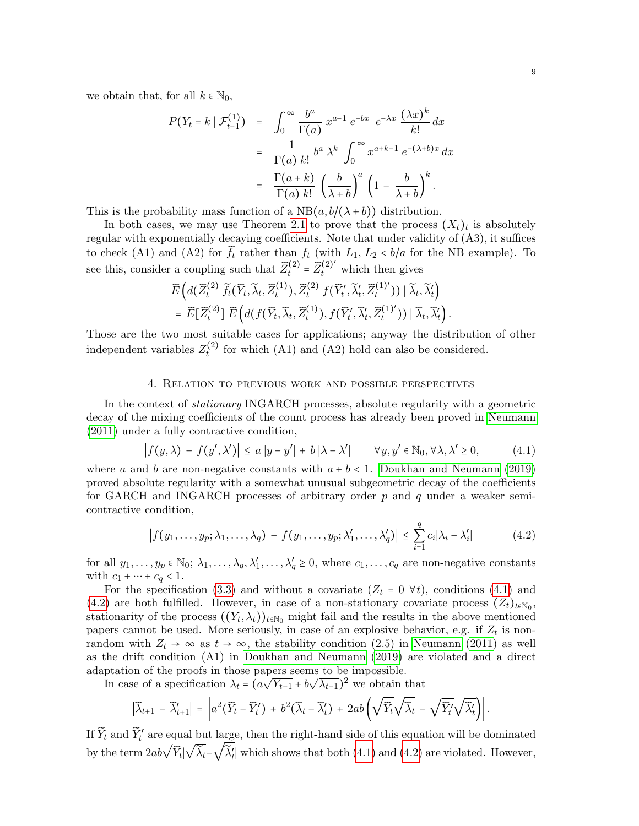we obtain that, for all  $k \in \mathbb{N}_0$ ,

$$
P(Y_t = k \mid \mathcal{F}_{t-1}^{(1)}) = \int_0^\infty \frac{b^a}{\Gamma(a)} x^{a-1} e^{-bx} e^{-\lambda x} \frac{(\lambda x)^k}{k!} dx
$$
  

$$
= \frac{1}{\Gamma(a) k!} b^a \lambda^k \int_0^\infty x^{a+k-1} e^{-(\lambda + b)x} dx
$$
  

$$
= \frac{\Gamma(a+k)}{\Gamma(a) k!} \left(\frac{b}{\lambda + b}\right)^a \left(1 - \frac{b}{\lambda + b}\right)^k.
$$

This is the probability mass function of a  $NB(a, b/(\lambda + b))$  distribution.

In both cases, we may use Theorem [2.1](#page-5-1) to prove that the process  $(X_t)_t$  is absolutely regular with exponentially decaying coefficients. Note that under validity of (A3), it suffices to check (A1) and (A2) for  $\widetilde{f}_t$  rather than  $f_t$  (with  $L_1, L_2 < b/a$  for the NB example). To see this, consider a coupling such that  $\widetilde{Z}_{t}^{(2)} = \widetilde{Z}_{t}^{(2)'}$  which then gives

$$
\widetilde{E}\left(d(\widetilde{Z}_{t}^{(2)}\widetilde{f}_{t}(\widetilde{Y}_{t},\widetilde{\lambda}_{t},\widetilde{Z}_{t}^{(1)}),\widetilde{Z}_{t}^{(2)}f(\widetilde{Y}_{t}',\widetilde{\lambda}_{t}',\widetilde{Z}_{t}^{(1)'}))|\widetilde{\lambda}_{t},\widetilde{\lambda}_{t}'\right) \n= \widetilde{E}[\widetilde{Z}_{t}^{(2)}]\widetilde{E}\left(d(f(\widetilde{Y}_{t},\widetilde{\lambda}_{t},\widetilde{Z}_{t}^{(1)}),f(\widetilde{Y}_{t}',\widetilde{\lambda}_{t}',\widetilde{Z}_{t}^{(1)'}))|\widetilde{\lambda}_{t},\widetilde{\lambda}_{t}'\right).
$$

Those are the two most suitable cases for applications; anyway the distribution of other independent variables  $Z_t^{(2)}$  $t_t^{(2)}$  for which (A1) and (A2) hold can also be considered.

### 4. Relation to previous work and possible perspectives

<span id="page-9-0"></span>In the context of stationary INGARCH processes, absolute regularity with a geometric decay of the mixing coefficients of the count process has already been proved in [Neumann](#page-24-2) [\(2011\)](#page-24-2) under a fully contractive condition,

<span id="page-9-1"></span>
$$
\left| f(y,\lambda) - f(y',\lambda') \right| \le a \left| y - y' \right| + b \left| \lambda - \lambda' \right| \qquad \forall y, y' \in \mathbb{N}_0, \forall \lambda, \lambda' \ge 0,\tag{4.1}
$$

where a and b are non-negative constants with  $a + b < 1$ . [Doukhan and Neumann \(2019\)](#page-23-3) proved absolute regularity with a somewhat unusual subgeometric decay of the coefficients for GARCH and INGARCH processes of arbitrary order  $p$  and  $q$  under a weaker semicontractive condition,

<span id="page-9-2"></span>
$$
\left| f(y_1,\ldots,y_p;\lambda_1,\ldots,\lambda_q) - f(y_1,\ldots,y_p;\lambda'_1,\ldots,\lambda'_q) \right| \leq \sum_{i=1}^q c_i |\lambda_i - \lambda'_i| \tag{4.2}
$$

for all  $y_1, \ldots, y_p \in \mathbb{N}_0$ ;  $\lambda_1, \ldots, \lambda_q, \lambda'_1, \ldots, \lambda'_q \geq 0$ , where  $c_1, \ldots, c_q$  are non-negative constants with  $c_1 + \cdots + c_q < 1$ .

For the specification [\(3.3\)](#page-7-1) and without a covariate  $(Z_t = 0 \forall t)$ , conditions [\(4.1\)](#page-9-1) and [\(4.2\)](#page-9-2) are both fulfilled. However, in case of a non-stationary covariate process  $(Z_t)_{t \in \mathbb{N}_0}$ , stationarity of the process  $((Y_t, \lambda_t))_{t \in \mathbb{N}_0}$  might fail and the results in the above mentioned papers cannot be used. More seriously, in case of an explosive behavior, e.g. if  $Z_t$  is nonrandom with  $Z_t \to \infty$  as  $t \to \infty$ , the stability condition (2.5) in [Neumann \(2011\)](#page-24-2) as well as the drift condition (A1) in [Doukhan and Neumann \(2019\)](#page-23-3) are violated and a direct adaptation of the proofs in those papers seems to be impossible. ւթ<br>⁄ µs

In case of a specification  $\lambda_t$  = (a  $\overline{Y_{t-1}}$  + b  $(\overline{\lambda_{t-1}})^2$  we obtain that

$$
\left|\widetilde{\lambda}_{t+1}-\widetilde{\lambda}_{t+1}'\right|=\left|a^2(\widetilde{Y}_t-\widetilde{Y}_t')\right|+b^2(\widetilde{\lambda}_t-\widetilde{\lambda}_t')+2ab\left(\sqrt{\widetilde{Y}_t}\sqrt{\widetilde{\lambda}_t}-\sqrt{\widetilde{Y}_t'}\sqrt{\widetilde{\lambda}_t'}\right)\right|.
$$

If  $\widetilde{Y}_t$  and  $\widetilde{Y}'_t$  are equal but large, then the right-hand side of this equation will be dominated by the term  $2ab\sqrt{\widetilde{Y}_t}|\sqrt{\widetilde{\lambda}_t}-\sqrt{\widetilde{\lambda}_t'}|$  which shows that both [\(4.1\)](#page-9-1) and [\(4.2\)](#page-9-2) are violated. However,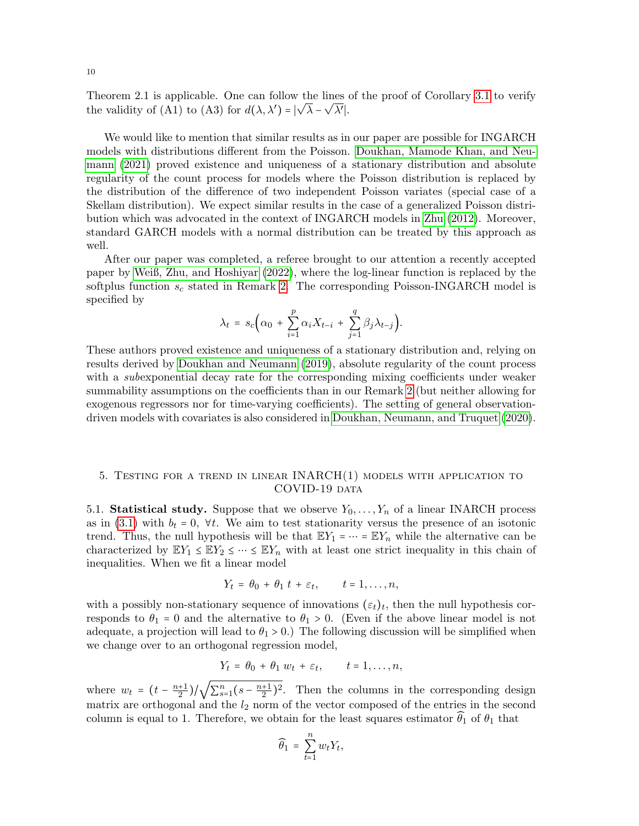Theorem 2.1 is applicable. One can follow the lines of the proof of Corollary [3.1](#page-6-1) to verify the validity of (A1) to (A3) for  $d(\lambda, \lambda') = |\sqrt{\lambda} - \sqrt{\lambda'}|$ .

We would like to mention that similar results as in our paper are possible for INGARCH models with distributions different from the Poisson. [Doukhan, Mamode Khan, and Neu](#page-23-8)[mann \(2021\)](#page-23-8) proved existence and uniqueness of a stationary distribution and absolute regularity of the count process for models where the Poisson distribution is replaced by the distribution of the difference of two independent Poisson variates (special case of a Skellam distribution). We expect similar results in the case of a generalized Poisson distribution which was advocated in the context of INGARCH models in [Zhu \(2012\)](#page-24-15). Moreover, standard GARCH models with a normal distribution can be treated by this approach as well.

After our paper was completed, a referee brought to our attention a recently accepted paper by [Weiß, Zhu, and Hoshiyar \(2022\)](#page-24-11), where the log-linear function is replaced by the softplus function  $s_c$  stated in Remark [2.](#page-7-2) The corresponding Poisson-INGARCH model is specified by

$$
\lambda_t = s_c \Big( \alpha_0 + \sum_{i=1}^p \alpha_i X_{t-i} + \sum_{j=1}^q \beta_j \lambda_{t-j} \Big).
$$

These authors proved existence and uniqueness of a stationary distribution and, relying on results derived by [Doukhan and Neumann \(2019\)](#page-23-3), absolute regularity of the count process with a *subexponential decay* rate for the corresponding mixing coefficients under weaker summability assumptions on the coefficients than in our Remark [2](#page-7-2) (but neither allowing for exogenous regressors nor for time-varying coefficients). The setting of general observationdriven models with covariates is also considered in [Doukhan, Neumann, and Truquet \(2020\)](#page-23-9).

## <span id="page-10-0"></span>5. TESTING FOR A TREND IN LINEAR  $INARCH(1)$  models with application to COVID-19 data

5.1. Statistical study. Suppose that we observe  $Y_0, \ldots, Y_n$  of a linear INARCH process as in [\(3.1\)](#page-6-2) with  $b_t = 0$ ,  $\forall t$ . We aim to test stationarity versus the presence of an isotonic trend. Thus, the null hypothesis will be that  $\mathbb{E}Y_1 = \cdots = \mathbb{E}Y_n$  while the alternative can be characterized by  $\mathbb{E}Y_1 \leq \mathbb{E}Y_2 \leq \cdots \leq \mathbb{E}Y_n$  with at least one strict inequality in this chain of inequalities. When we fit a linear model

$$
Y_t = \theta_0 + \theta_1 t + \varepsilon_t, \qquad t = 1, \ldots, n,
$$

with a possibly non-stationary sequence of innovations  $(\varepsilon_t)_t$ , then the null hypothesis corresponds to  $\theta_1 = 0$  and the alternative to  $\theta_1 > 0$ . (Even if the above linear model is not adequate, a projection will lead to  $\theta_1 > 0$ .) The following discussion will be simplified when we change over to an orthogonal regression model,

$$
Y_t = \theta_0 + \theta_1 w_t + \varepsilon_t, \qquad t = 1, \ldots, n,
$$

where  $w_t = \left(t - \frac{n+1}{2}\right)$  $\frac{+1}{2}$ )/ $\sqrt{\sum_{s=1}^{n} (s - \frac{n+1}{2})}$  $\frac{+1}{2}$ )<sup>2</sup>. Then the columns in the corresponding design matrix are orthogonal and the  $l_2$  norm of the vector composed of the entries in the second column is equal to 1. Therefore, we obtain for the least squares estimator  $\hat{\theta}_1$  of  $\theta_1$  that

$$
\widehat{\theta}_1 = \sum_{t=1}^n w_t Y_t,
$$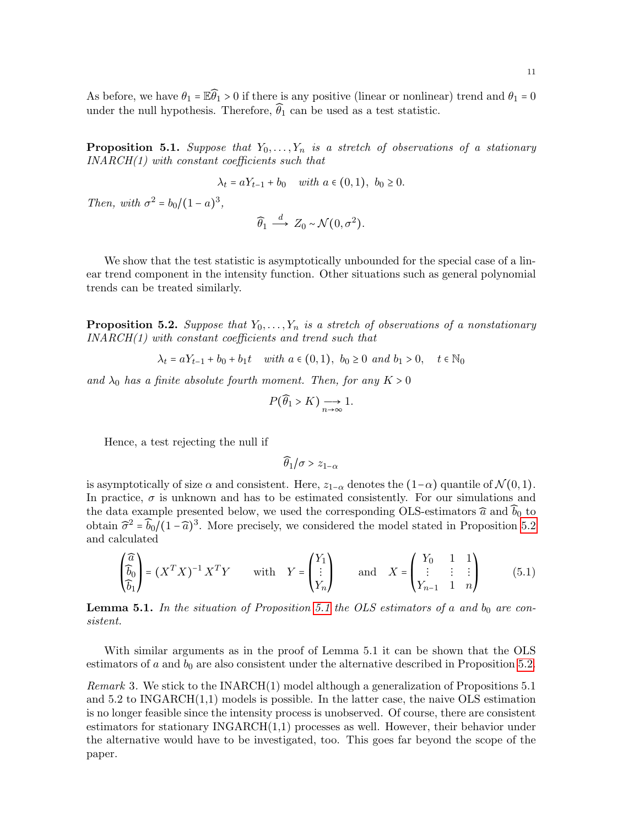As before, we have  $\theta_1 = \mathbb{E}\widehat{\theta_1} > 0$  if there is any positive (linear or nonlinear) trend and  $\theta_1 = 0$ under the null hypothesis. Therefore,  $\widehat{\theta}_1$  can be used as a test statistic.

<span id="page-11-1"></span>**Proposition 5.1.** Suppose that  $Y_0, \ldots, Y_n$  is a stretch of observations of a stationary  $INARCH(1)$  with constant coefficients such that

$$
\lambda_t = aY_{t-1} + b_0
$$
 with  $a \in (0, 1)$ ,  $b_0 \ge 0$ .

Then, with  $\sigma^2 = b_0/(1 - a)^3$ ,

$$
\widehat{\theta}_1 \stackrel{d}{\longrightarrow} Z_0 \sim \mathcal{N}(0, \sigma^2).
$$

We show that the test statistic is asymptotically unbounded for the special case of a linear trend component in the intensity function. Other situations such as general polynomial trends can be treated similarly.

<span id="page-11-0"></span>**Proposition 5.2.** Suppose that  $Y_0, \ldots, Y_n$  is a stretch of observations of a nonstationary INARCH(1) with constant coefficients and trend such that

 $\lambda_t = aY_{t-1} + b_0 + b_1t$  with  $a \in (0,1)$ ,  $b_0 \ge 0$  and  $b_1 > 0$ ,  $t \in \mathbb{N}_0$ 

and  $\lambda_0$  has a finite absolute fourth moment. Then, for any  $K > 0$ 

$$
P(\widehat{\theta}_1 > K) \underset{n \to \infty}{\longrightarrow} 1.
$$

Hence, a test rejecting the null if

$$
\widehat{\theta}_1/\sigma > z_{1-\alpha}
$$

is asymptotically of size  $\alpha$  and consistent. Here,  $z_{1-\alpha}$  denotes the  $(1-\alpha)$  quantile of  $\mathcal{N}(0,1)$ . In practice,  $\sigma$  is unknown and has to be estimated consistently. For our simulations and the data example presented below, we used the corresponding OLS-estimators  $\widehat{a}$  and  $\widehat{b}_0$  to obtain  $\hat{\sigma}^2 = \hat{b}_0 \hat{I} (1 - \hat{a})^3$ . More precisely, we considered the model stated in Proposition [5.2](#page-11-0) and calculated

$$
\begin{pmatrix} \widehat{a} \\ \widehat{b}_0 \\ \widehat{b}_1 \end{pmatrix} = (X^T X)^{-1} X^T Y \qquad \text{with} \quad Y = \begin{pmatrix} Y_1 \\ \vdots \\ Y_n \end{pmatrix} \qquad \text{and} \quad X = \begin{pmatrix} Y_0 & 1 & 1 \\ \vdots & \vdots & \vdots \\ Y_{n-1} & 1 & n \end{pmatrix} \tag{5.1}
$$

<span id="page-11-2"></span>**Lemma [5.1](#page-11-1).** In the situation of Proposition 5.1 the OLS estimators of a and  $b_0$  are consistent.

With similar arguments as in the proof of Lemma 5.1 it can be shown that the OLS estimators of  $a$  and  $b_0$  are also consistent under the alternative described in Proposition [5.2.](#page-11-0)

*Remark* 3. We stick to the INARCH $(1)$  model although a generalization of Propositions 5.1 and  $5.2$  to INGARCH $(1,1)$  models is possible. In the latter case, the naive OLS estimation is no longer feasible since the intensity process is unobserved. Of course, there are consistent estimators for stationary  $INGARCH(1,1)$  processes as well. However, their behavior under the alternative would have to be investigated, too. This goes far beyond the scope of the paper.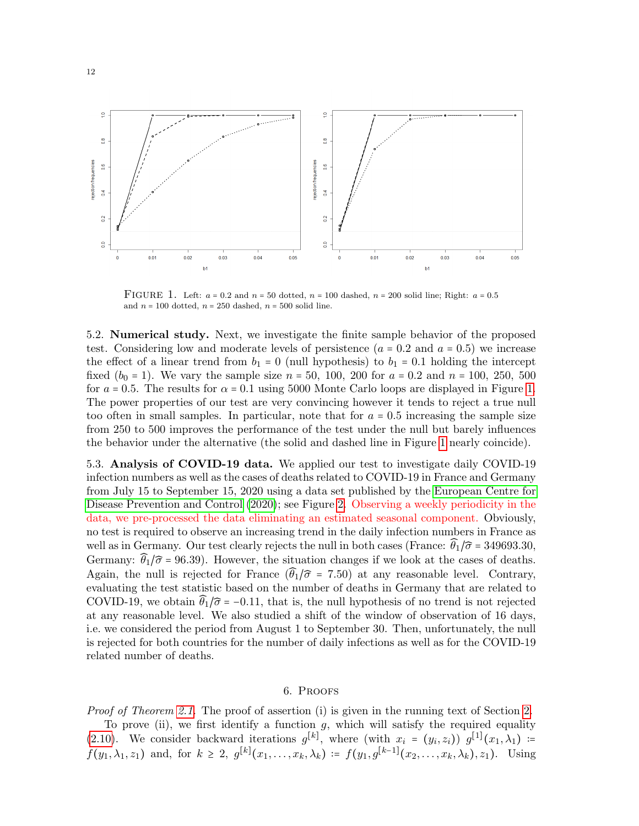<span id="page-12-1"></span>

FIGURE 1. Left:  $a = 0.2$  and  $n = 50$  dotted,  $n = 100$  dashed,  $n = 200$  solid line; Right:  $a = 0.5$ and  $n = 100$  dotted,  $n = 250$  dashed,  $n = 500$  solid line.

5.2. Numerical study. Next, we investigate the finite sample behavior of the proposed test. Considering low and moderate levels of persistence  $(a = 0.2 \text{ and } a = 0.5)$  we increase the effect of a linear trend from  $b_1 = 0$  (null hypothesis) to  $b_1 = 0.1$  holding the intercept fixed  $(b_0 = 1)$ . We vary the sample size  $n = 50$ , 100, 200 for  $a = 0.2$  and  $n = 100$ , 250, 500 for  $a = 0.5$ . The results for  $\alpha = 0.1$  using 5000 Monte Carlo loops are displayed in Figure [1.](#page-12-1) The power properties of our test are very convincing however it tends to reject a true null too often in small samples. In particular, note that for  $a = 0.5$  increasing the sample size from 250 to 500 improves the performance of the test under the null but barely influences the behavior under the alternative (the solid and dashed line in Figure [1](#page-12-1) nearly coincide).

5.3. Analysis of COVID-19 data. We applied our test to investigate daily COVID-19 infection numbers as well as the cases of deaths related to COVID-19 in France and Germany from July 15 to September 15, 2020 using a data set published by the [European Centre for](#page-24-16) [Disease Prevention and Control \(2020\)](#page-24-16); see Figure [2.](#page-13-0) Observing a weekly periodicity in the data, we pre-processed the data eliminating an estimated seasonal component. Obviously, no test is required to observe an increasing trend in the daily infection numbers in France as well as in Germany. Our test clearly rejects the null in both cases (France:  $\hat{\theta}_1/\hat{\sigma} = 349693.30$ , Germany:  $\widehat{\theta}_1/\widehat{\sigma}$  = 96.39). However, the situation changes if we look at the cases of deaths. Again, the null is rejected for France  $(\widehat{\theta}_1/\widehat{\sigma} = 7.50)$  at any reasonable level. Contrary, evaluating the test statistic based on the number of deaths in Germany that are related to COVID-19, we obtain  $\hat{\theta}_1/\hat{\sigma}$  = -0.11, that is, the null hypothesis of no trend is not rejected at any reasonable level. We also studied a shift of the window of observation of 16 days, i.e. we considered the period from August 1 to September 30. Then, unfortunately, the null is rejected for both countries for the number of daily infections as well as for the COVID-19 related number of deaths.

### 6. Proofs

<span id="page-12-0"></span>Proof of Theorem [2.1.](#page-5-1) The proof of assertion (i) is given in the running text of Section [2.](#page-1-1)

To prove (ii), we first identify a function  $g$ , which will satisfy the required equality [\(2.10\)](#page-5-2). We consider backward iterations  $g^{[k]}$ , where (with  $x_i = (y_i, z_i)$ )  $g^{[1]}(x_1, \lambda_1)$  :=  $f(y_1, \lambda_1, z_1)$  and, for  $k \geq 2$ ,  $g^{[k]}(x_1, \ldots, x_k, \lambda_k) := f(y_1, g^{[k-1]}(x_2, \ldots, x_k, \lambda_k), z_1)$ . Using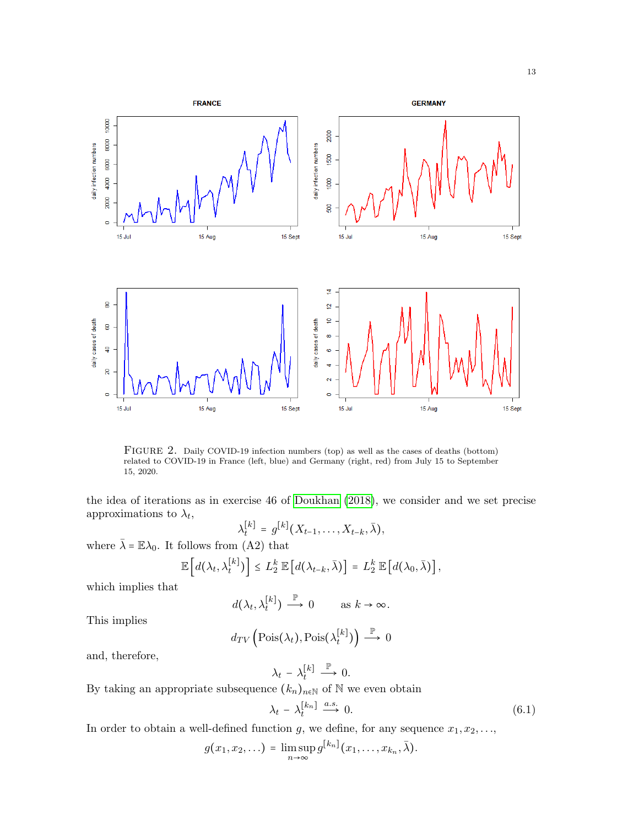<span id="page-13-0"></span>

FIGURE 2. Daily COVID-19 infection numbers (top) as well as the cases of deaths (bottom) related to COVID-19 in France (left, blue) and Germany (right, red) from July 15 to September 15, 2020.

the idea of iterations as in exercise 46 of [Doukhan \(2018\)](#page-23-10), we consider and we set precise approximations to  $\lambda_t$ ,

$$
\lambda_t^{[k]} = g^{[k]}(X_{t-1},\ldots,X_{t-k},\bar{\lambda}),
$$

where  $\bar{\lambda} = \mathbb{E}\lambda_0$ . It follows from (A2) that

$$
\mathbb{E}\left[d(\lambda_t,\lambda_t^{[k]})\right] \leq L_2^k \mathbb{E}\left[d(\lambda_{t-k},\bar{\lambda})\right] = L_2^k \mathbb{E}\left[d(\lambda_0,\bar{\lambda})\right],
$$

which implies that

$$
d(\lambda_t, \lambda_t^{[k]}) \stackrel{\mathbb{P}}{\longrightarrow} 0 \quad \text{as } k \to \infty.
$$

This implies

$$
d_{TV}\left(\mathrm{Pois}(\lambda_t), \mathrm{Pois}(\lambda_t^{[k]})\right) \stackrel{\mathbb{P}}{\longrightarrow} 0
$$

and, therefore,

$$
\lambda_t - \lambda_t^{[k]} \stackrel{\mathbb{P}}{\longrightarrow} 0.
$$

By taking an appropriate subsequence  $(k_n)_{n\in\mathbb{N}}$  of  $\mathbb N$  we even obtain

<span id="page-13-1"></span>
$$
\lambda_t - \lambda_t^{[k_n]} \xrightarrow{a.s.} 0. \tag{6.1}
$$

In order to obtain a well-defined function g, we define, for any sequence  $x_1, x_2, \ldots$ ,

$$
g(x_1,x_2,\ldots)=\limsup_{n\to\infty}g^{[k_n]}(x_1,\ldots,x_{k_n},\bar{\lambda}).
$$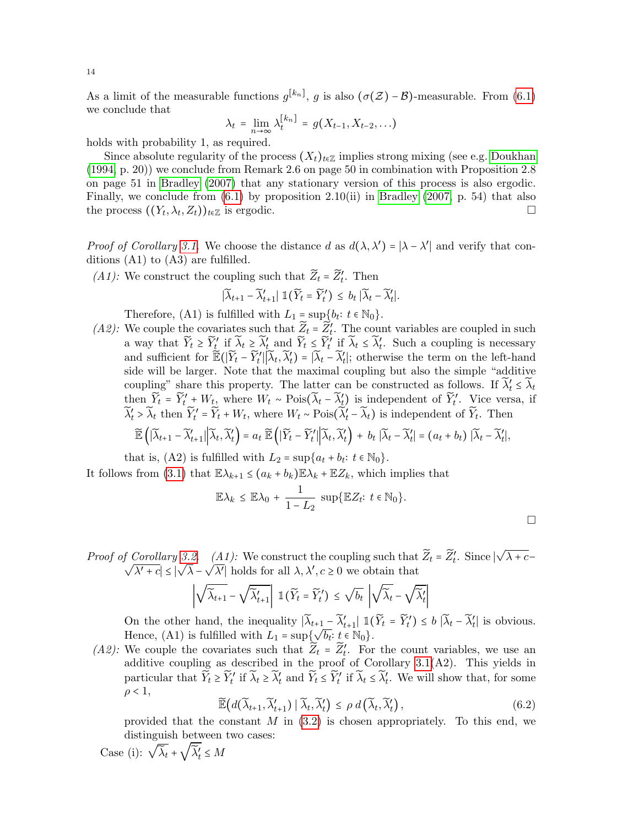As a limit of the measurable functions  $g^{[k_n]}$ , g is also  $(\sigma(\mathcal{Z}) - \mathcal{B})$ -measurable. From [\(6.1\)](#page-13-1) we conclude that

$$
\lambda_t = \lim_{n \to \infty} \lambda_t^{[k_n]} = g(X_{t-1}, X_{t-2}, \ldots)
$$

holds with probability 1, as required.

Since absolute regularity of the process  $(X_t)_{t \in \mathbb{Z}}$  implies strong mixing (see e.g. [Doukhan](#page-23-5) [\(1994,](#page-23-5) p. 20)) we conclude from Remark 2.6 on page 50 in combination with Proposition 2.8 on page 51 in [Bradley \(2007\)](#page-23-11) that any stationary version of this process is also ergodic. Finally, we conclude from  $(6.1)$  by proposition 2.10(ii) in Bradley  $(2007, p. 54)$  that also the process  $((Y_t, \lambda_t, Z_t))_{t \in \mathbb{Z}}$  is ergodic.

*Proof of Corollary [3.1.](#page-6-1)* We choose the distance d as  $d(\lambda, \lambda') = |\lambda - \lambda'|$  and verify that conditions (A1) to (A3) are fulfilled.

(A1): We construct the coupling such that  $\widetilde{Z}_t = \widetilde{Z}'_t$ . Then

$$
\big|\widetilde{\lambda}_{t+1}-\widetilde{\lambda}_{t+1}'\big|\; \mathbb{1}\big(\widetilde{Y}_t=\widetilde{Y}_t'\big)\,\leq\, b_t\,\big|\widetilde{\lambda}_t-\widetilde{\lambda}_t'\big|.
$$

Therefore, (A1) is fulfilled with  $L_1 = \sup\{b_t : t \in \mathbb{N}_0\}.$ 

(A2): We couple the covariates such that  $\widetilde{Z}_t = \widetilde{Z}'_t$ . The count variables are coupled in such a way that  $\widetilde{Y}_t \geq \widetilde{Y}'_t$  if  $\widetilde{\lambda}_t \geq \widetilde{\lambda}'_t$  and  $\widetilde{Y}_t \leq \widetilde{Y}'_t$  if  $\widetilde{\lambda}_t \leq \widetilde{\lambda}'_t$ . Such a coupling is necessary and sufficient for  $\mathbb{E}(|\widetilde{Y}_t - \widetilde{Y}_t'| | \widetilde{\lambda}_t, \widetilde{\lambda}_t') = |\widetilde{\lambda}_t - \widetilde{\lambda}_t'|$ ; otherwise the term on the left-hand side will be larger. Note that the maximal coupling but also the simple "additive coupling" share this property. The latter can be constructed as follows. If  $\widetilde{\lambda}'_t \leq \widetilde{\lambda}_t$ then  $\widetilde{Y}_t = \widetilde{Y}'_t + W_t$ , where  $W_t \sim \text{Pois}(\widetilde{\lambda}_t - \widetilde{\lambda}'_t)$  is independent of  $\widetilde{Y}'_t$ . Vice versa, if  $\widetilde{\lambda}'_t > \widetilde{\lambda}_t$  then  $\widetilde{Y}'_t = \widetilde{Y}_t + W_t$ , where  $W_t \sim \text{Pois}(\widetilde{\lambda}'_t - \widetilde{\lambda}_t)$  is independent of  $\widetilde{Y}_t$ . Then

$$
\widetilde{\mathbb{E}}\left(\left|\widetilde{\lambda}_{t+1}-\widetilde{\lambda}_{t+1}'\right|\left|\widetilde{\lambda}_{t},\widetilde{\lambda}_{t}'\right.\right)=a_{t}\ \widetilde{\mathbb{E}}\left(\left|\widetilde{Y}_{t}-\widetilde{Y}_{t}'\right|\left|\widetilde{\lambda}_{t},\widetilde{\lambda}_{t}'\right.\right)+b_{t}\ \left|\widetilde{\lambda}_{t}-\widetilde{\lambda}_{t}'\right|=(a_{t}+b_{t})\ \left|\widetilde{\lambda}_{t}-\widetilde{\lambda}_{t}'\right|,
$$

that is, (A2) is fulfilled with  $L_2 = \sup\{a_t + b_t : t \in \mathbb{N}_0\}.$ 

It follows from [\(3.1\)](#page-6-2) that  $\mathbb{E}\lambda_{k+1} \leq (a_k + b_k)\mathbb{E}\lambda_k + \mathbb{E}Z_k$ , which implies that

$$
\mathbb{E}\lambda_k \leq \mathbb{E}\lambda_0 + \frac{1}{1-L_2} \sup \{ \mathbb{E}Z_t : t \in \mathbb{N}_0 \}.
$$

 $\Box$ 

*Proof of Corollary [3.2.](#page-7-0)* (A1): We construct the coupling such that  $\widetilde{Z}_t = \widetilde{Z}'_t$ . Since √ f Corollary 3.2. (A1): We construct the coupling such that  $Z_t = Z'_t$ . Since  $|\sqrt{\lambda} + c - \sqrt{\lambda}|$  $|\lambda' + c| \leq |$ √  $\lambda$  – √  $\overline{\lambda'}$  holds for all  $\lambda, \lambda', c \geq 0$  we obtain that

$$
\left|\sqrt{\widetilde{\lambda}_{t+1}} - \sqrt{\widetilde{\lambda}_{t+1}'}\right| \, \, \mathbb{1}(\widetilde{Y}_t = \widetilde{Y}'_t) \, \leq \, \sqrt{b_t} \, \left|\sqrt{\widetilde{\lambda}_t} - \sqrt{\widetilde{\lambda}_t'}\right|
$$

On the other hand, the inequality  $|\widetilde{\lambda}_{t+1} - \widetilde{\lambda}'_{t+1}| \mathbb{1}(\widetilde{Y}_t = \widetilde{Y}'_t) \leq b |\widetilde{\lambda}_t - \widetilde{\lambda}'_t|$  is obvious. Hence, (A1) is fulfilled with  $L_1 = \sup\{\sqrt{b_t}: t \in \mathbb{N}_0\}.$ 

(A2): We couple the covariates such that  $\widetilde{Z}_t = \widetilde{Z}'_t$ . For the count variables, we use an additive coupling as described in the proof of Corollary [3.1\(](#page-6-1)A2). This yields in particular that  $\widetilde{Y}_t \geq \widetilde{Y}'_t$  if  $\widetilde{\lambda}_t \geq \widetilde{\lambda}'_t$  and  $\widetilde{Y}_t \leq \widetilde{Y}'_t$  if  $\widetilde{\lambda}_t \leq \widetilde{\lambda}'_t$ . We will show that, for some  $\rho < 1$ ,

<span id="page-14-0"></span>
$$
\widetilde{\mathbb{E}}\big(d(\widetilde{\lambda}_{t+1}, \widetilde{\lambda}'_{t+1}) \mid \widetilde{\lambda}_t, \widetilde{\lambda}'_t\big) \le \rho \, d\big(\widetilde{\lambda}_t, \widetilde{\lambda}'_t\big),\tag{6.2}
$$

provided that the constant  $M$  in  $(3.2)$  is chosen appropriately. To this end, we

$$
\begin{array}{c} \text{distinguish between two cases:} \\ \text{Case (i): } \sqrt{\widetilde{\lambda}_t} + \sqrt{\widetilde{\lambda}_t'} \leq M \end{array}
$$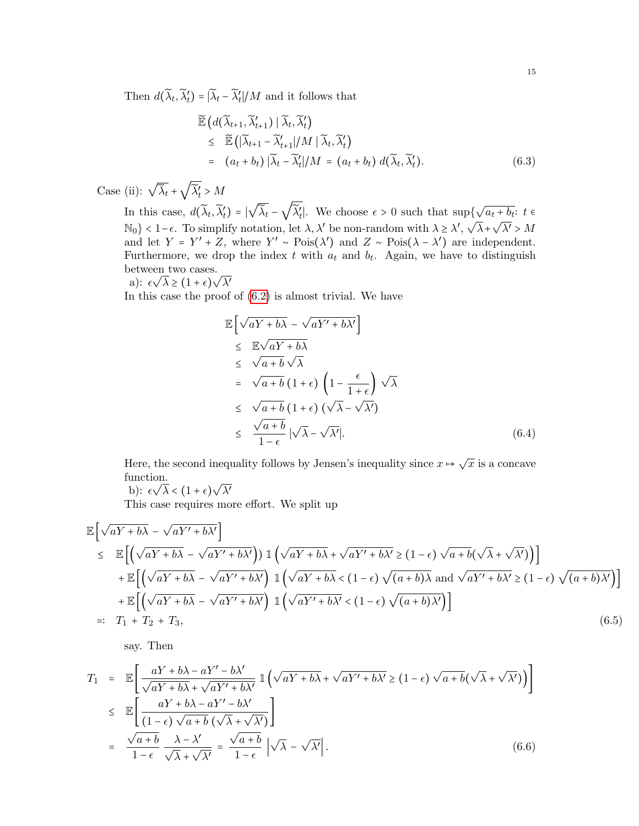Then  $d(\widetilde{\lambda}_t, \widetilde{\lambda}'_t) = |\widetilde{\lambda}_t - \widetilde{\lambda}'_t| / M$  and it follows that

<span id="page-15-0"></span>
$$
\widetilde{\mathbb{E}}\left(d(\widetilde{\lambda}_{t+1}, \widetilde{\lambda}_{t+1}') \mid \widetilde{\lambda}_t, \widetilde{\lambda}_t'\right) \n\leq \widetilde{\mathbb{E}}\left(|\widetilde{\lambda}_{t+1} - \widetilde{\lambda}_{t+1}'|/M \mid \widetilde{\lambda}_t, \widetilde{\lambda}_t'\right) \n= (a_t + b_t) |\widetilde{\lambda}_t - \widetilde{\lambda}_t'|/M = (a_t + b_t) d(\widetilde{\lambda}_t, \widetilde{\lambda}_t').
$$
\n(6.3)

Case (ii):  $\sqrt{\tilde{\lambda}_t}$  + √  $\widetilde{\lambda}'_t > M$ 

In this case,  $d(\widetilde{\lambda}_t, \widetilde{\lambda}'_t) = |$ √  $\overline{\widetilde{\lambda}_t}$  – √  $\widetilde{\lambda}'_t$ . We choose  $\epsilon > 0$  such that sup{ √  $\partial \{\sqrt{a_t+b_t}: t \in$ N<sub>0</sub>} < 1 −  $\epsilon$ . To simplify notation, let  $\lambda$ ,  $\lambda'$  be non-random with  $\lambda \geq \lambda'$ ,  $\sqrt{\lambda}$ + $\sqrt{\lambda'}$  > M and let  $Y = Y' + Z$ , where  $Y' \sim \text{Pois}(\lambda')$  and  $Z \sim \text{Pois}(\lambda - \lambda')$  are independent. Furthermore, we drop the index t with  $a_t$  and  $b_t$ . Again, we have to distinguish **between** two cases.

a): 
$$
\epsilon \sqrt{\lambda} \ge (1+\epsilon)\sqrt{\lambda'}
$$

In this case the proof of  $(6.2)$  is almost trivial. We have

$$
\mathbb{E}\left[\sqrt{aY+b\lambda} - \sqrt{aY'+b\lambda'}\right] \n\leq \mathbb{E}\sqrt{aY+b\lambda} \n\leq \sqrt{a+b}\sqrt{\lambda} \n= \sqrt{a+b}\left(1+\epsilon\right)\left(1-\frac{\epsilon}{1+\epsilon}\right)\sqrt{\lambda} \n\leq \sqrt{a+b}\left(1+\epsilon\right)\left(\sqrt{\lambda}-\sqrt{\lambda'}\right) \n\leq \frac{\sqrt{a+b}}{1-\epsilon}\left|\sqrt{\lambda}-\sqrt{\lambda'}\right|.
$$
\n(6.4)

Here, the second inequality follows by Jensen's inequality since  $x \mapsto \sqrt{x}$  is a concave function. √

b):  $\epsilon \sqrt{\lambda} < (1 + \epsilon)$  $\lambda'$ 

This case requires more effort. We split up

$$
\mathbb{E}\left[\sqrt{aY+b\lambda}-\sqrt{aY'+b\lambda'}\right] \n\leq \mathbb{E}\left[\left(\sqrt{aY+b\lambda}-\sqrt{aY'+b\lambda'}\right)\mathbb{1}\left(\sqrt{aY+b\lambda}+\sqrt{aY'+b\lambda'}\geq (1-\epsilon)\sqrt{a+b}(\sqrt{\lambda}+\sqrt{\lambda'})\right)\right] \n+ \mathbb{E}\left[\left(\sqrt{aY+b\lambda}-\sqrt{aY'+b\lambda'}\right)\mathbb{1}\left(\sqrt{aY+b\lambda}<(1-\epsilon)\sqrt{(a+b)\lambda}\text{ and }\sqrt{aY'+b\lambda'}\geq (1-\epsilon)\sqrt{(a+b)\lambda'}\right)\right] \n+ \mathbb{E}\left[\left(\sqrt{aY+b\lambda}-\sqrt{aY'+b\lambda'}\right)\mathbb{1}\left(\sqrt{aY'+b\lambda'}<(1-\epsilon)\sqrt{(a+b)\lambda'}\right)\right] \n=:\ T_1 + T_2 + T_3,
$$
\n(6.5)

say. Then

$$
T_1 = \mathbb{E}\left[\frac{aY + b\lambda - aY' - b\lambda'}{\sqrt{aY + b\lambda} + \sqrt{aY' + b\lambda'}} \mathbb{1}\left(\sqrt{aY + b\lambda} + \sqrt{aY' + b\lambda'} \ge (1 - \epsilon)\sqrt{a + b}(\sqrt{\lambda} + \sqrt{\lambda'})\right)\right]
$$
  

$$
\leq \mathbb{E}\left[\frac{aY + b\lambda - aY' - b\lambda'}{(1 - \epsilon)\sqrt{a + b}(\sqrt{\lambda} + \sqrt{\lambda'})}\right]
$$
  

$$
= \frac{\sqrt{a + b}}{1 - \epsilon} \frac{\lambda - \lambda'}{\sqrt{\lambda} + \sqrt{\lambda'}} = \frac{\sqrt{a + b}}{1 - \epsilon} |\sqrt{\lambda} - \sqrt{\lambda'}|.
$$
 (6.6)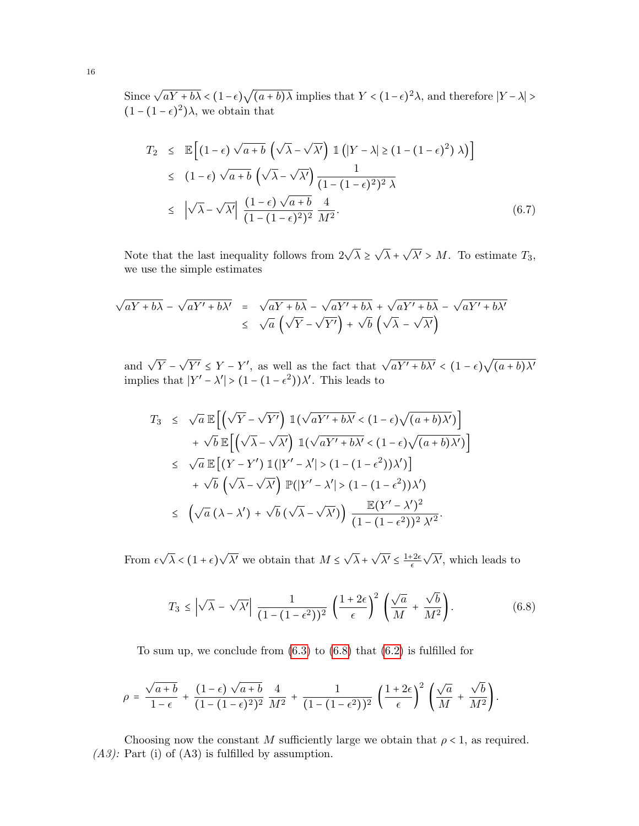Since  $\sqrt{aY+b\lambda} < (1-\epsilon)$ √  $\overline{(a+b)\lambda}$  implies that  $Y < (1-\epsilon)^2 \lambda$ , and therefore  $|Y-\lambda| > \epsilon$  $(1 - (1 - \epsilon)^2)\lambda$ , we obtain that

$$
T_2 \leq \mathbb{E}\left[ (1-\epsilon)\sqrt{a+b} \left( \sqrt{\lambda} - \sqrt{\lambda'} \right) \mathbb{1} \left( |Y-\lambda| \geq (1-(1-\epsilon)^2) \lambda \right) \right]
$$
  
\n
$$
\leq (1-\epsilon)\sqrt{a+b} \left( \sqrt{\lambda} - \sqrt{\lambda'} \right) \frac{1}{(1-(1-\epsilon)^2)^2 \lambda}
$$
  
\n
$$
\leq |\sqrt{\lambda} - \sqrt{\lambda'}| \frac{(1-\epsilon)\sqrt{a+b}}{(1-(1-\epsilon)^2)^2} \frac{4}{M^2}.
$$
 (6.7)

Note that the last inequality follows from  $2\sqrt{\lambda} \geq$ √  $\lambda +$ √  $\lambda' > M$ . To estimate  $T_3$ , we use the simple estimates

$$
\sqrt{aY + b\lambda} - \sqrt{aY' + b\lambda'} = \sqrt{aY + b\lambda} - \sqrt{aY' + b\lambda} + \sqrt{aY' + b\lambda} - \sqrt{aY' + b\lambda'}
$$
  

$$
\leq \sqrt{a} \left( \sqrt{Y} - \sqrt{Y'} \right) + \sqrt{b} \left( \sqrt{\lambda} - \sqrt{\lambda'} \right)
$$

and  $\sqrt{Y}$  – √  $\overline{Y'} \leq Y - Y'$ , as well as the fact that  $\sqrt{aY' + b\lambda'} < (1 - \epsilon)$ √  $(a + b)\lambda'$ implies that  $|Y' - \lambda'| > (1 - (1 - \epsilon^2))\lambda'$ . This leads to

$$
T_3 \leq \sqrt{a} \mathbb{E}\Big[\Big(\sqrt{Y} - \sqrt{Y'}\Big) \mathbb{1}(\sqrt{aY' + b\lambda'} < (1 - \epsilon)\sqrt{(a+b)\lambda'})\Big] + \sqrt{b} \mathbb{E}\Big[\Big(\sqrt{\lambda} - \sqrt{\lambda'}\Big) \mathbb{1}(\sqrt{aY' + b\lambda'} < (1 - \epsilon)\sqrt{(a+b)\lambda'})\Big] 
$$
\leq \sqrt{a} \mathbb{E}\Big[(Y - Y') \mathbb{1}(|Y' - \lambda'| > (1 - (1 - \epsilon^2))\lambda')\Big] + \sqrt{b} \left(\sqrt{\lambda} - \sqrt{\lambda'}\right) \mathbb{P}(|Y' - \lambda'| > (1 - (1 - \epsilon^2))\lambda') 
$$
\Big(\sqrt{a} (\lambda - \lambda') + \sqrt{b} (\sqrt{\lambda} - \sqrt{\lambda'})\Big) \frac{\mathbb{E}(Y' - \lambda')^2}{(1 - (1 - \epsilon^2))^2 \lambda'^2}.
$$
$$
$$

From  $\epsilon$ √  $\lambda < (1 + \epsilon)$ √  $\overline{\lambda'}$  we obtain that  $M \leq$ √  $\lambda +$ √  $\overline{\lambda'} \leq \frac{1+2\epsilon}{\epsilon}$  $\epsilon$ √  $\overline{\lambda'}$ , which leads to

<span id="page-16-0"></span>
$$
T_3 \leq \left| \sqrt{\lambda} - \sqrt{\lambda'} \right| \frac{1}{(1 - (1 - \epsilon^2))^2} \left( \frac{1 + 2\epsilon}{\epsilon} \right)^2 \left( \frac{\sqrt{a}}{M} + \frac{\sqrt{b}}{M^2} \right).
$$
 (6.8)

To sum up, we conclude from  $(6.3)$  to  $(6.8)$  that  $(6.2)$  is fulfilled for

$$
\rho = \frac{\sqrt{a+b}}{1-\epsilon} + \frac{(1-\epsilon)\sqrt{a+b}}{(1-(1-\epsilon)^2)^2} \frac{4}{M^2} + \frac{1}{(1-(1-\epsilon^2))^2} \left(\frac{1+2\epsilon}{\epsilon}\right)^2 \left(\frac{\sqrt{a}}{M} + \frac{\sqrt{b}}{M^2}\right).
$$

Choosing now the constant M sufficiently large we obtain that  $\rho < 1$ , as required.  $(A3)$ : Part (i) of  $(A3)$  is fulfilled by assumption.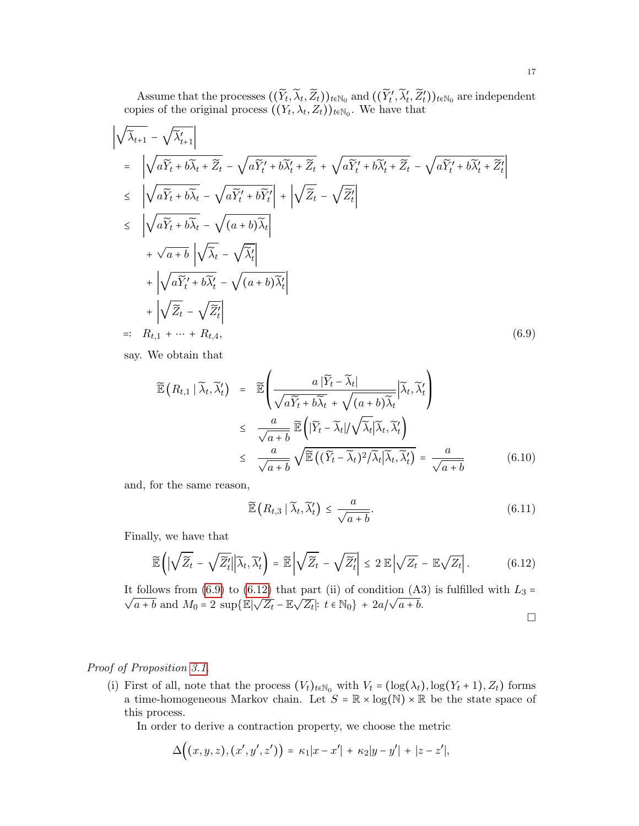Assume that the processes  $((\widetilde{Y}_t, \widetilde{\lambda}_t, \widetilde{Z}_t))_{t \in \mathbb{N}_0}$  and  $((\widetilde{Y}'_t', \widetilde{\lambda}'_t, \widetilde{Z}'_t))_{t \in \mathbb{N}_0}$  are independent copies of the original process  $((Y_t, \lambda_t, Z_t))_{t \in \mathbb{N}_0}$ . We have that

<span id="page-17-0"></span>
$$
\begin{aligned}\n\left| \sqrt{\tilde{\lambda}_{t+1}} - \sqrt{\tilde{\lambda}_{t+1}'} \right| \\
&= \left| \sqrt{a\tilde{Y}_t + b\tilde{\lambda}_t + \tilde{Z}_t} - \sqrt{a\tilde{Y}_t' + b\tilde{\lambda}_t' + \tilde{Z}_t} + \sqrt{a\tilde{Y}_t' + b\tilde{\lambda}_t' + \tilde{Z}_t} - \sqrt{a\tilde{Y}_t' + b\tilde{\lambda}_t' + \tilde{Z}_t'} \right| \\
&\leq \left| \sqrt{a\tilde{Y}_t + b\tilde{\lambda}_t} - \sqrt{a\tilde{Y}_t' + b\tilde{Y}_t'} \right| + \left| \sqrt{\tilde{Z}_t} - \sqrt{\tilde{Z}_t'} \right| \\
&\leq \left| \sqrt{a\tilde{Y}_t + b\tilde{\lambda}_t} - \sqrt{(a+b)\tilde{\lambda}_t} \right| \\
&+ \sqrt{a+b} \left| \sqrt{\tilde{\lambda}_t} - \sqrt{\tilde{\lambda}_t'} \right| \\
&+ \left| \sqrt{a\tilde{Y}_t' + b\tilde{\lambda}_t'} - \sqrt{(a+b)\tilde{\lambda}_t'} \right| \\
&+ \left| \sqrt{\tilde{Z}_t} - \sqrt{\tilde{Z}_t'} \right| \\
&=:\ R_{t,1} + \dots + R_{t,4},\n\end{aligned} \tag{6.9}
$$

say. We obtain that

$$
\widetilde{\mathbb{E}}\left(R_{t,1} \mid \widetilde{\lambda}_t, \widetilde{\lambda}'_t\right) = \widetilde{\mathbb{E}}\left(\frac{a\left|\widetilde{Y}_t - \widetilde{\lambda}_t\right|}{\sqrt{a\widetilde{Y}_t + b\widetilde{\lambda}_t} + \sqrt{(a+b)\widetilde{\lambda}_t}} \middle| \widetilde{\lambda}_t, \widetilde{\lambda}'_t\right)
$$
\n
$$
\leq \frac{a}{\sqrt{a+b}} \widetilde{\mathbb{E}}\left(|\widetilde{Y}_t - \widetilde{\lambda}_t|/\sqrt{\widetilde{\lambda}_t} \middle| \widetilde{\lambda}_t, \widetilde{\lambda}'_t\right)
$$
\n
$$
\leq \frac{a}{\sqrt{a+b}} \sqrt{\widetilde{\mathbb{E}}\left((\widetilde{Y}_t - \widetilde{\lambda}_t)^2/\widetilde{\lambda}_t \middle| \widetilde{\lambda}_t, \widetilde{\lambda}'_t\right)} = \frac{a}{\sqrt{a+b}} \tag{6.10}
$$

and, for the same reason,

$$
\widetilde{\mathbb{E}}\left(R_{t,3} \mid \widetilde{\lambda}_t, \widetilde{\lambda}'_t\right) \le \frac{a}{\sqrt{a+b}}.\tag{6.11}
$$

Finally, we have that

<span id="page-17-1"></span>
$$
\widetilde{\mathbb{E}}\left(\left|\sqrt{\widetilde{Z}_t} - \sqrt{\widetilde{Z}_t'}\right|\right|\widetilde{\lambda}_t, \widetilde{\lambda}_t'\right) = \widetilde{\mathbb{E}}\left|\sqrt{\widetilde{Z}_t} - \sqrt{\widetilde{Z}_t'}\right| \leq 2 \mathbb{E}\left|\sqrt{Z_t} - \mathbb{E}\sqrt{Z_t}\right|.
$$
 (6.12)

It follows from [\(6.9\)](#page-17-0) to [\(6.12\)](#page-17-1) that part (ii) of condition (A3) is fulfilled with  $L_3 = \sqrt{\frac{1}{\sqrt{1-\frac{1}{n}}}}$ follows from (0.3) to (0.12) that  $\overline{a+b}$  and  $M_0 = 2 \sup{\{\mathbb{E}|\sqrt{Z_t} - \mathbb{E}\sqrt{Z_t}\}}$  $\overline{Z_t}$ |:  $t \in \mathbb{N}_0$ } +  $2a/\sqrt{a+b}$ .

$$
\Box
$$

# Proof of Proposition [3.1.](#page-8-1)

(i) First of all, note that the process  $(V_t)_{t \in \mathbb{N}_0}$  with  $V_t = (\log(\lambda_t), \log(Y_t + 1), Z_t)$  forms a time-homogeneous Markov chain. Let  $S = \mathbb{R} \times \log(\mathbb{N}) \times \mathbb{R}$  be the state space of this process.

In order to derive a contraction property, we choose the metric

$$
\Delta((x,y,z),(x',y',z')) = \kappa_1|x-x'| + \kappa_2|y-y'| + |z-z'|,
$$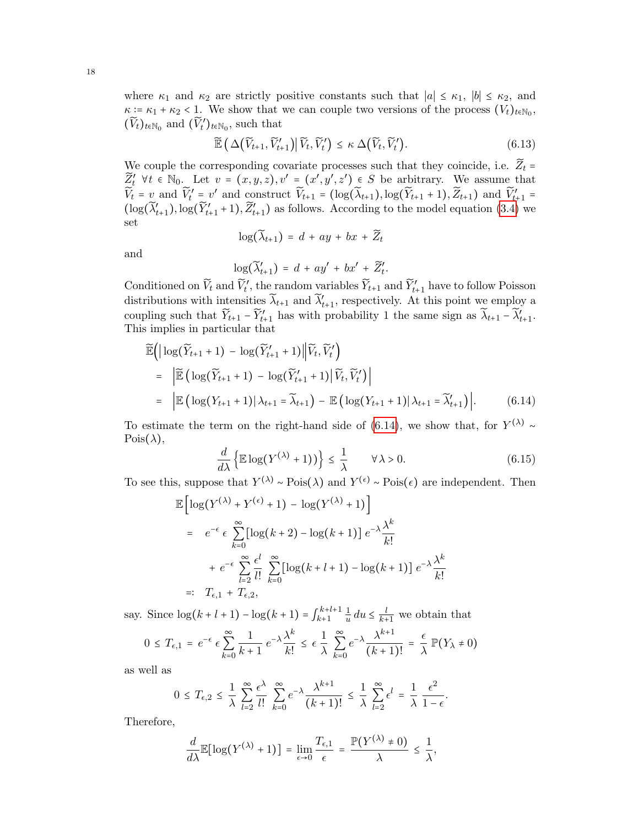where  $\kappa_1$  and  $\kappa_2$  are strictly positive constants such that  $|a| \leq \kappa_1$ ,  $|b| \leq \kappa_2$ , and  $\kappa = \kappa_1 + \kappa_2 < 1$ . We show that we can couple two versions of the process  $(V_t)_{t \in \mathbb{N}_0}$ ,  $(\widetilde{V}_t)_{t \in \mathbb{N}_0}$  and  $(\widetilde{V}_t')_{t \in \mathbb{N}_0}$ , such that

$$
\widetilde{\mathbb{E}}\left(\Delta\big(\widetilde{V}_{t+1},\widetilde{V}'_{t+1}\big)\big|\widetilde{V}_t,\widetilde{V}'_t\right) \leq \kappa \Delta\big(\widetilde{V}_t,\widetilde{V}'_t\big). \tag{6.13}
$$

We couple the corresponding covariate processes such that they coincide, i.e.  $\widetilde{Z}_t$  =  $\widetilde{Z}'_t$   $\forall t \in \mathbb{N}_0$ . Let  $v = (x, y, z), v' = (x', y', z') \in S$  be arbitrary. We assume that  $\widetilde{V}_t = v$  and  $\widetilde{V}'_t = v'$  and construct  $\widetilde{V}_{t+1} = (\log(\widetilde{\lambda}_{t+1}), \log(\widetilde{Y}_{t+1} + 1), \widetilde{Z}_{t+1})$  and  $\widetilde{V}'_{t+1} =$  $(\log(\widetilde{\lambda}'_{t+1}), \log(\widetilde{Y}'_{t+1}+1), \widetilde{Z}'_{t+1})$  as follows. According to the model equation [\(3.4\)](#page-8-2) we set

$$
\log(\widetilde{\lambda}_{t+1}) = d + ay + bx + \widetilde{Z}_t
$$

and

$$
\log(\widetilde{\lambda}'_{t+1}) = d + ay' + bx' + \widetilde{Z}'_t.
$$

Conditioned on  $\widetilde{V}_t$  and  $\widetilde{V}'_t$ , the random variables  $\widetilde{Y}_{t+1}$  and  $\widetilde{Y}'_{t+1}$  have to follow Poisson distributions with intensities  $\widetilde{\lambda}_{t+1}$  and  $\widetilde{\lambda}'_{t+1}$ , respectively. At this point we employ a coupling such that  $\widetilde{Y}_{t+1} - \widetilde{Y}_{t+1}$  has with probability 1 the same sign as  $\widetilde{\lambda}_{t+1} - \widetilde{\lambda}_{t+1}$ . This implies in particular that

<span id="page-18-0"></span>
$$
\widetilde{\mathbb{E}}\Big(\Big|\log(\widetilde{Y}_{t+1}+1)-\log(\widetilde{Y}'_{t+1}+1)\Big|\Big|\widetilde{V}_t,\widetilde{V}'_t\Big)\n= \Big|\widetilde{\mathbb{E}}\Big(\log(\widetilde{Y}_{t+1}+1)-\log(\widetilde{Y}'_{t+1}+1)\Big|\widetilde{V}_t,\widetilde{V}'_t\Big)\Big|\n= \Big|\mathbb{E}\Big(\log(Y_{t+1}+1)|\lambda_{t+1}-\widetilde{\lambda}_{t+1}\Big)-\mathbb{E}\Big(\log(Y_{t+1}+1)|\lambda_{t+1}-\widetilde{\lambda}'_{t+1}\Big)\Big|.\n\tag{6.14}
$$

To estimate the term on the right-hand side of [\(6.14\)](#page-18-0), we show that, for  $Y^{(\lambda)}$  ∼  $Pois(\lambda)$ ,

<span id="page-18-1"></span>
$$
\frac{d}{d\lambda} \left\{ \mathbb{E} \log(Y^{(\lambda)} + 1) \right\} \le \frac{1}{\lambda} \qquad \forall \lambda > 0. \tag{6.15}
$$

To see this, suppose that  $Y^{(\lambda)} \sim \text{Pois}(\lambda)$  and  $Y^{(\epsilon)} \sim \text{Pois}(\epsilon)$  are independent. Then

$$
\mathbb{E}\left[\log(Y^{(\lambda)} + Y^{(\epsilon)} + 1) - \log(Y^{(\lambda)} + 1)\right]
$$
\n
$$
= e^{-\epsilon} \epsilon \sum_{k=0}^{\infty} \left[\log(k+2) - \log(k+1)\right] e^{-\lambda} \frac{\lambda^k}{k!}
$$
\n
$$
+ e^{-\epsilon} \sum_{l=2}^{\infty} \frac{\epsilon^l}{l!} \sum_{k=0}^{\infty} \left[\log(k+l+1) - \log(k+1)\right] e^{-\lambda} \frac{\lambda^k}{k!}
$$
\n
$$
=: T_{\epsilon,1} + T_{\epsilon,2},
$$

say. Since  $\log(k+l+1) - \log(k+1) = \int_{k+1}^{k+l+1}$  $\frac{k+l+1}{k+1}$   $\frac{1}{u}$  $\frac{1}{u} du \leq \frac{l}{k+1}$  $\frac{l}{k+1}$  we obtain that

$$
0 \leq T_{\epsilon,1} = e^{-\epsilon} \epsilon \sum_{k=0}^{\infty} \frac{1}{k+1} e^{-\lambda} \frac{\lambda^k}{k!} \leq \epsilon \frac{1}{\lambda} \sum_{k=0}^{\infty} e^{-\lambda} \frac{\lambda^{k+1}}{(k+1)!} = \frac{\epsilon}{\lambda} \mathbb{P}(Y_{\lambda} \neq 0)
$$

as well as

$$
0 \leq T_{\epsilon,2} \leq \frac{1}{\lambda} \sum_{l=2}^{\infty} \frac{\epsilon^{\lambda}}{l!} \sum_{k=0}^{\infty} e^{-\lambda} \frac{\lambda^{k+1}}{(k+1)!} \leq \frac{1}{\lambda} \sum_{l=2}^{\infty} \epsilon^l = \frac{1}{\lambda} \frac{\epsilon^2}{1-\epsilon}.
$$

Therefore,

$$
\frac{d}{d\lambda}\mathbb{E}[\log(Y^{(\lambda)}+1)] = \lim_{\epsilon \to 0} \frac{T_{\epsilon,1}}{\epsilon} = \frac{\mathbb{P}(Y^{(\lambda)} \neq 0)}{\lambda} \le \frac{1}{\lambda},
$$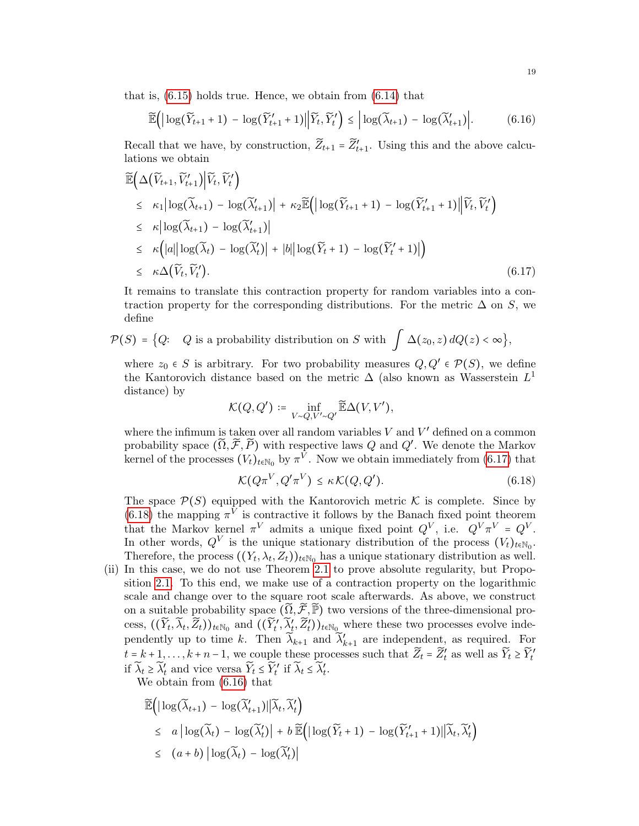that is, [\(6.15\)](#page-18-1) holds true. Hence, we obtain from [\(6.14\)](#page-18-0) that

<span id="page-19-2"></span>
$$
\widetilde{\mathbb{E}}\Big(\Big|\log(\widetilde{Y}_{t+1}+1)-\log(\widetilde{Y}_{t+1}'+1)\Big|\Big|\widetilde{Y}_t,\widetilde{Y}_t'\Big)\leq \Big|\log(\widetilde{\lambda}_{t+1})-\log(\widetilde{\lambda}_{t+1}')\Big|.\tag{6.16}
$$

Recall that we have, by construction,  $\widetilde{Z}_{t+1} = \widetilde{Z}'_{t+1}$ . Using this and the above calculations we obtain

<span id="page-19-0"></span>
$$
\widetilde{\mathbb{E}}\Big(\Delta\big(\widetilde{V}_{t+1}, \widetilde{V}'_{t+1}\big)\Big|\widetilde{V}_t, \widetilde{V}'_t\Big) \n\leq \kappa_1|\log(\widetilde{\lambda}_{t+1}) - \log(\widetilde{\lambda}'_{t+1})| + \kappa_2 \widetilde{\mathbb{E}}\Big(|\log(\widetilde{Y}_{t+1} + 1) - \log(\widetilde{Y}'_{t+1} + 1)\Big|\widetilde{V}_t, \widetilde{V}'_t\Big) \n\leq \kappa|\log(\widetilde{\lambda}_{t+1}) - \log(\widetilde{\lambda}'_{t+1})| \n\leq \kappa\Big(|a||\log(\widetilde{\lambda}_{t}) - \log(\widetilde{\lambda}'_{t})| + |b||\log(\widetilde{Y}_t + 1) - \log(\widetilde{Y}'_{t} + 1)|\Big) \n\leq \kappa\Delta(\widetilde{V}_t, \widetilde{V}'_t).
$$
\n(6.17)

It remains to translate this contraction property for random variables into a contraction property for the corresponding distributions. For the metric  $\Delta$  on S, we define

$$
\mathcal{P}(S) = \big\{Q: \quad Q \text{ is a probability distribution on } S \text{ with } \int \Delta(z_0, z) \, dQ(z) < \infty \big\},
$$

where  $z_0 \in S$  is arbitrary. For two probability measures  $Q, Q' \in \mathcal{P}(S)$ , we define the Kantorovich distance based on the metric  $\Delta$  (also known as Wasserstein  $L^1$ distance) by

$$
\mathcal{K}(Q,Q')\coloneqq\inf_{V\sim Q,V'\sim Q'}\widetilde{\mathbb{E}}\Delta(V,V'),
$$

where the infimum is taken over all random variables  $V$  and  $V'$  defined on a common probability space  $(\widetilde{\Omega}, \widetilde{\mathcal{F}}, \widetilde{P})$  with respective laws Q and Q'. We denote the Markov kernel of the processes  $(V_t)_{t \in \mathbb{N}_0}$  by  $\pi^V$ . Now we obtain immediately from [\(6.17\)](#page-19-0) that

<span id="page-19-1"></span>
$$
\mathcal{K}(Q\pi^V, Q'\pi^V) \le \kappa \mathcal{K}(Q, Q'). \tag{6.18}
$$

The space  $\mathcal{P}(S)$  equipped with the Kantorovich metric K is complete. Since by [\(6.18\)](#page-19-1) the mapping  $\pi^V$  is contractive it follows by the Banach fixed point theorem that the Markov kernel  $\pi^V$  admits a unique fixed point  $Q^V$ , i.e.  $Q^V \pi^V = Q^V$ . In other words,  $Q^V$  is the unique stationary distribution of the process  $(V_t)_{t \in \mathbb{N}_0}$ . Therefore, the process  $((Y_t, \lambda_t, Z_t))_{t \in \mathbb{N}_0}$  has a unique stationary distribution as well.

(ii) In this case, we do not use Theorem [2.1](#page-5-1) to prove absolute regularity, but Proposition [2.1.](#page-3-1) To this end, we make use of a contraction property on the logarithmic scale and change over to the square root scale afterwards. As above, we construct on a suitable probability space  $(\tilde{\Omega}, \tilde{\mathcal{F}}, \tilde{\mathbb{P}})$  two versions of the three-dimensional process,  $((\widetilde{Y}_t, \widetilde{\lambda}_t, \widetilde{Z}_t))_{t \in \mathbb{N}_0}$  and  $((\widetilde{Y}'_t, \widetilde{\lambda}'_t, \widetilde{Z}'_t))_{t \in \mathbb{N}_0}$  where these two processes evolve independently up to time k. Then  $\widetilde{\lambda}_{k+1}$  and  $\widetilde{\lambda}'_{k+1}$  are independent, as required. For  $t = k + 1, \ldots, k + n - 1$ , we couple these processes such that  $\widetilde{Z}_t = \widetilde{Z}'_t$  as well as  $\widetilde{Y}_t \geq \widetilde{Y}'_t$ if  $\widetilde{\lambda}_t \geq \widetilde{\lambda}'_t$  and vice versa  $\widetilde{Y}_t \leq \widetilde{Y}'_t$  if  $\widetilde{\lambda}_t \leq \widetilde{\lambda}'_t$ .

We obtain from [\(6.16\)](#page-19-2) that

$$
\widetilde{\mathbb{E}}\Big(\big|\log(\widetilde{\lambda}_{t+1}) - \log(\widetilde{\lambda}_{t+1}')\big|\big|\widetilde{\lambda}_{t}, \widetilde{\lambda}_{t}'\Big) \leq a \big|\log(\widetilde{\lambda}_{t}) - \log(\widetilde{\lambda}_{t}')\big| + b \widetilde{\mathbb{E}}\Big(\big|\log(\widetilde{Y}_{t} + 1) - \log(\widetilde{Y}_{t+1}' + 1)\big|\big|\widetilde{\lambda}_{t}, \widetilde{\lambda}_{t}'\Big) \leq (a+b) \big|\log(\widetilde{\lambda}_{t}) - \log(\widetilde{\lambda}_{t}')\big|
$$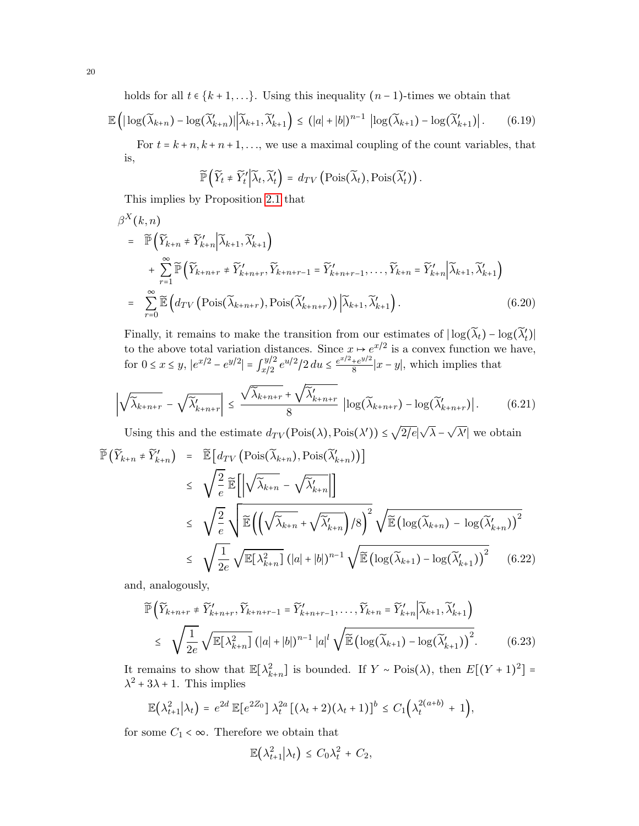holds for all  $t \in \{k+1,\ldots\}$ . Using this inequality  $(n-1)$ -times we obtain that

$$
\mathbb{E}\left(\left|\log(\widetilde{\lambda}_{k+n})-\log(\widetilde{\lambda}_{k+n}')\right|\left|\widetilde{\lambda}_{k+1},\widetilde{\lambda}_{k+1}'\right|\right)\leq (|a|+|b|)^{n-1}\left|\log(\widetilde{\lambda}_{k+1})-\log(\widetilde{\lambda}_{k+1}')\right|.\tag{6.19}
$$

For  $t = k + n, k + n + 1, \ldots$ , we use a maximal coupling of the count variables, that is,

$$
\widetilde{\mathbb{P}}\left(\widetilde{Y}_t \neq \widetilde{Y}'_t \middle| \widetilde{\lambda}_t, \widetilde{\lambda}'_t\right) = d_{TV}\left(\mathrm{Pois}(\widetilde{\lambda}_t), \mathrm{Pois}(\widetilde{\lambda}'_t)\right).
$$

This implies by Proposition [2.1](#page-3-1) that

$$
\beta^{X}(k,n) = \widetilde{\mathbb{P}}\Big(\widetilde{Y}_{k+n} \neq \widetilde{Y}_{k+n}' | \widetilde{\lambda}_{k+1}, \widetilde{\lambda}'_{k+1}\Big) \n+ \sum_{r=1}^{\infty} \widetilde{\mathbb{P}}\Big(\widetilde{Y}_{k+n+r} \neq \widetilde{Y}_{k+n+r}^{\prime}, \widetilde{Y}_{k+n+r-1} = \widetilde{Y}_{k+n+r-1}^{\prime}, \dots, \widetilde{Y}_{k+n} = \widetilde{Y}_{k+n}' | \widetilde{\lambda}_{k+1}, \widetilde{\lambda}'_{k+1}\Big) \n= \sum_{r=0}^{\infty} \widetilde{\mathbb{E}}\Big(d_{TV}\Big(\text{Pois}(\widetilde{\lambda}_{k+n+r}), \text{Pois}(\widetilde{\lambda}'_{k+n+r})\Big) \Big|\widetilde{\lambda}_{k+1}, \widetilde{\lambda}'_{k+1}\Big).
$$
\n(6.20)

Finally, it remains to make the transition from our estimates of  $|\log(\tilde{\lambda}_t) - \log(\tilde{\lambda}'_t)|$ t to the above total variation distances. Since  $x \mapsto e^{x/2}$  is a convex function we have, for  $0 \le x \le y$ ,  $|e^{x/2} - e^{y/2}| = \int_{x/2}^{y/2}$  $\int_{x/2}^{y/2} e^{u/2}/2 du \leq \frac{e^{x/2} + e^{y/2}}{8}$  $\frac{+e^{y/2}}{8}|x-y|$ , which implies that

$$
\left| \sqrt{\tilde{\lambda}_{k+n+r}} - \sqrt{\tilde{\lambda}_{k+n+r}'} \right| \leq \frac{\sqrt{\tilde{\lambda}_{k+n+r}} + \sqrt{\tilde{\lambda}_{k+n+r}'} }{8} \left| \log(\tilde{\lambda}_{k+n+r}) - \log(\tilde{\lambda}_{k+n+r}') \right|.
$$
 (6.21)

Using this and the estimate  $d_{TV}(\text{Pois}(\lambda), \text{Pois}(\lambda')) \leq$ 2/e∣  $\lambda$  –  $\lambda'$  we obtain  $\widetilde{\mathbb{P}}$  ( $\widetilde{V}$ 

<span id="page-20-0"></span>
$$
\begin{split}\n\left(\widetilde{Y}_{k+n} \neq \widetilde{Y}'_{k+n}\right) &= \widetilde{\mathbb{E}}\left[d_{TV}\left(\text{Pois}(\widetilde{\lambda}_{k+n}), \text{Pois}(\widetilde{\lambda}'_{k+n})\right)\right] \\
&\leq \sqrt{\frac{2}{e}} \widetilde{\mathbb{E}}\left[\left|\sqrt{\widetilde{\lambda}_{k+n}} - \sqrt{\widetilde{\lambda}'_{k+n}}\right|\right] \\
&\leq \sqrt{\frac{2}{e}} \sqrt{\widetilde{\mathbb{E}}\left(\left(\sqrt{\widetilde{\lambda}_{k+n}} + \sqrt{\widetilde{\lambda}'_{k+n}}\right)/8\right)^2} \sqrt{\widetilde{\mathbb{E}}\left(\log(\widetilde{\lambda}_{k+n}) - \log(\widetilde{\lambda}'_{k+n})\right)^2} \\
&\leq \sqrt{\frac{1}{2e}} \sqrt{\mathbb{E}[\lambda_{k+n}^2]}\left(|a|+|b|\right)^{n-1} \sqrt{\widetilde{\mathbb{E}}\left(\log(\widetilde{\lambda}_{k+1}) - \log(\widetilde{\lambda}'_{k+1})\right)^2}\n\end{split} \tag{6.22}
$$

and, analogously,

<span id="page-20-1"></span>
$$
\widetilde{\mathbb{P}}\left(\widetilde{Y}_{k+n+r} \neq \widetilde{Y}_{k+n+r}^{\prime}, \widetilde{Y}_{k+n+r-1} = \widetilde{Y}_{k+n+r-1}^{\prime}, \dots, \widetilde{Y}_{k+n} = \widetilde{Y}_{k+n}^{\prime} \Big| \widetilde{\lambda}_{k+1}, \widetilde{\lambda}_{k+1}^{\prime} \right)
$$
\n
$$
\leq \sqrt{\frac{1}{2e}} \sqrt{\mathbb{E}[\lambda_{k+n}^{2}] \left( |a| + |b| \right)^{n-1} |a|^{l} \sqrt{\mathbb{E} \left( \log(\widetilde{\lambda}_{k+1}) - \log(\widetilde{\lambda}_{k+1}^{\prime}) \right)^{2}}}. \tag{6.23}
$$

It remains to show that  $\mathbb{E}[\lambda_{k+n}^2]$  is bounded. If  $Y \sim \text{Pois}(\lambda)$ , then  $E[(Y+1)^2] =$  $\lambda^2 + 3\lambda + 1$ . This implies

$$
\mathbb{E}\left(\lambda_{t+1}^2\middle|\lambda_t\right) = e^{2d} \mathbb{E}\left[e^{2Z_0}\right] \lambda_t^{2a} \left[\left(\lambda_t+2\right)\left(\lambda_t+1\right)\right]^b \leq C_1\left(\lambda_t^{2(a+b)}+1\right),
$$

for some  $C_1 < \infty$ . Therefore we obtain that

$$
\mathbb{E}(\lambda_{t+1}^2|\lambda_t) \leq C_0\lambda_t^2 + C_2,
$$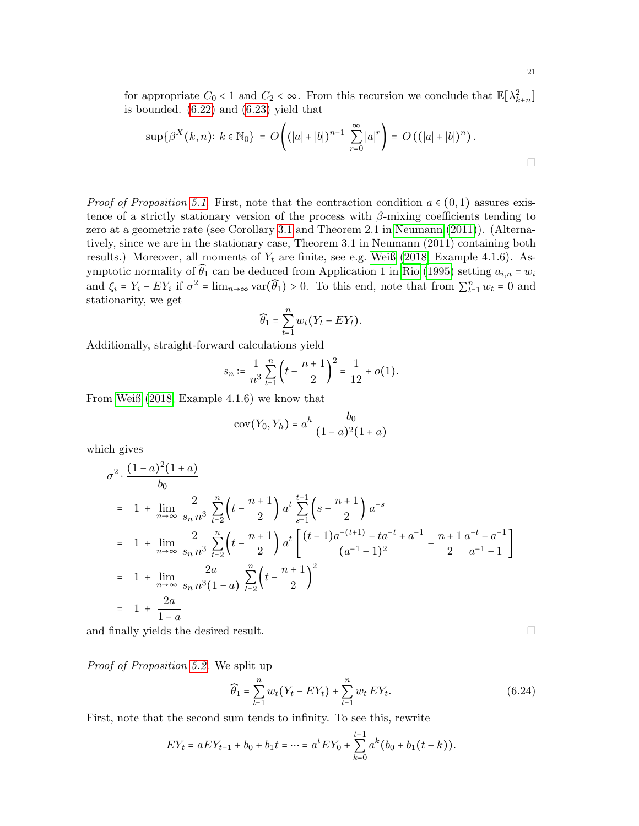$$
\sup \{ \beta^X(k,n) : k \in \mathbb{N}_0 \} = O\left( (|a|+|b|)^{n-1} \sum_{r=0}^{\infty} |a|^r \right) = O\left( (|a|+|b|)^n \right).
$$

*Proof of Proposition [5.1.](#page-11-1)* First, note that the contraction condition  $a \in (0,1)$  assures existence of a strictly stationary version of the process with  $\beta$ -mixing coefficients tending to zero at a geometric rate (see Corollary [3.1](#page-6-1) and Theorem 2.1 in [Neumann \(2011\)](#page-24-2)). (Alternatively, since we are in the stationary case, Theorem 3.1 in Neumann (2011) containing both results.) Moreover, all moments of  $Y_t$  are finite, see e.g. [Weiß \(2018,](#page-24-17) Example 4.1.6). Asymptotic normality of  $\widehat{\theta}_1$  can be deduced from Application 1 in [Rio \(1995\)](#page-24-18) setting  $a_{i,n} = w_i$ and  $\xi_i = Y_i - EY_i$  if  $\sigma^2 = \lim_{n \to \infty} \text{var}(\widehat{\theta}_1) > 0$ . To this end, note that from  $\sum_{t=1}^n w_t = 0$  and stationarity, we get

$$
\widehat{\theta}_1 = \sum_{t=1}^n w_t (Y_t - EY_t).
$$

Additionally, straight-forward calculations yield

$$
s_n \coloneqq \frac{1}{n^3} \sum_{t=1}^n \left( t - \frac{n+1}{2} \right)^2 = \frac{1}{12} + o(1).
$$

From [Weiß \(2018,](#page-24-17) Example 4.1.6) we know that

$$
cov(Y_0, Y_h) = a^h \frac{b_0}{(1-a)^2(1+a)}
$$

which gives

$$
\sigma^{2} \cdot \frac{(1-a)^{2}(1+a)}{b_{0}}
$$
\n
$$
= 1 + \lim_{n \to \infty} \frac{2}{s_{n} n^{3}} \sum_{t=2}^{n} \left( t - \frac{n+1}{2} \right) a^{t} \sum_{s=1}^{t-1} \left( s - \frac{n+1}{2} \right) a^{-s}
$$
\n
$$
= 1 + \lim_{n \to \infty} \frac{2}{s_{n} n^{3}} \sum_{t=2}^{n} \left( t - \frac{n+1}{2} \right) a^{t} \left[ \frac{(t-1)a^{-(t+1)} - ta^{-t} + a^{-1}}{(a^{-1} - 1)^{2}} - \frac{n+1}{2} \frac{a^{-t} - a^{-1}}{a^{-1} - 1} \right]
$$
\n
$$
= 1 + \lim_{n \to \infty} \frac{2a}{s_{n} n^{3} (1-a)} \sum_{t=2}^{n} \left( t - \frac{n+1}{2} \right)^{2}
$$
\n
$$
= 1 + \frac{2a}{1-a}
$$

and finally yields the desired result.  $\Box$ 

Proof of Proposition [5.2.](#page-11-0) We split up

<span id="page-21-0"></span>
$$
\widehat{\theta}_1 = \sum_{t=1}^n w_t (Y_t - EY_t) + \sum_{t=1}^n w_t EY_t.
$$
\n(6.24)

First, note that the second sum tends to infinity. To see this, rewrite

$$
EY_t = aEY_{t-1} + b_0 + b_1t = \dots = a^t EY_0 + \sum_{k=0}^{t-1} a^k (b_0 + b_1(t - k)).
$$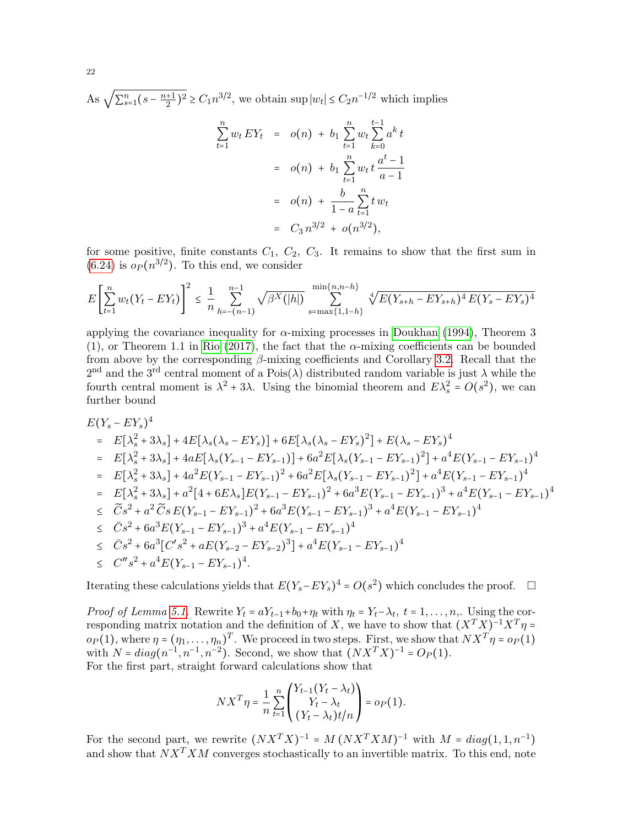As  $\sqrt{\sum_{s=1}^{n} (s - \frac{n+1}{2})}$  $\frac{1}{2}$ )<sup>2</sup> ≥  $C_1 n^{3/2}$ , we obtain sup  $|w_t| \le C_2 n^{-1/2}$  which implies

$$
\sum_{t=1}^{n} w_t EY_t = o(n) + b_1 \sum_{t=1}^{n} w_t \sum_{k=0}^{t-1} a^k t
$$
  
=  $o(n) + b_1 \sum_{t=1}^{n} w_t t \frac{a^t - 1}{a - 1}$   
=  $o(n) + \frac{b}{1 - a} \sum_{t=1}^{n} t w_t$   
=  $C_3 n^{3/2} + o(n^{3/2}),$ 

for some positive, finite constants  $C_1$ ,  $C_2$ ,  $C_3$ . It remains to show that the first sum in  $(6.24)$  is  $o_P(n^{3/2})$ . To this end, we consider

$$
E\left[\sum_{t=1}^{n} w_t (Y_t - EY_t)\right]^2 \leq \frac{1}{n} \sum_{h=-(n-1)}^{n-1} \sqrt{\beta^X(h)} \sum_{s=\max\{1,1-h\}}^{\min\{n,n-h\}} \sqrt[4]{E(Y_{s+h} - EY_{s+h})^4 E(Y_s - EY_s)^4}
$$

applying the covariance inequality for  $\alpha$ -mixing processes in [Doukhan \(1994\)](#page-23-5), Theorem 3 (1), or Theorem 1.1 in [Rio \(2017\)](#page-24-5), the fact that the  $\alpha$ -mixing coefficients can be bounded from above by the corresponding  $\beta$ -mixing coefficients and Corollary [3.2.](#page-7-0) Recall that the 2<sup>nd</sup> and the 3<sup>rd</sup> central moment of a Pois( $\lambda$ ) distributed random variable is just  $\lambda$  while the fourth central moment is  $\lambda^2 + 3\lambda$ . Using the binomial theorem and  $E\lambda_s^2 = O(s^2)$ , we can further bound

$$
E(Y_s - EY_s)^4
$$
  
\n=  $E[\lambda_s^2 + 3\lambda_s] + 4E[\lambda_s(\lambda_s - EY_s)] + 6E[\lambda_s(\lambda_s - EY_s)^2] + E(\lambda_s - EY_s)^4$   
\n=  $E[\lambda_s^2 + 3\lambda_s] + 4aE[\lambda_s(Y_{s-1} - EY_{s-1})] + 6a^2E[\lambda_s(Y_{s-1} - EY_{s-1})^2] + a^4E(Y_{s-1} - EY_{s-1})^4$   
\n=  $E[\lambda_s^2 + 3\lambda_s] + 4a^2E(Y_{s-1} - EY_{s-1})^2 + 6a^2E[\lambda_s(Y_{s-1} - EY_{s-1})^2] + a^4E(Y_{s-1} - EY_{s-1})^4$   
\n=  $E[\lambda_s^2 + 3\lambda_s] + a^2[4 + 6E\lambda_s]E(Y_{s-1} - EY_{s-1})^2 + 6a^3E(Y_{s-1} - EY_{s-1})^3 + a^4E(Y_{s-1} - EY_{s-1})^4$   
\n $\leq \tilde{C}s^2 + a^2 \tilde{C}s E(Y_{s-1} - EY_{s-1})^2 + 6a^3E(Y_{s-1} - EY_{s-1})^3 + a^4E(Y_{s-1} - EY_{s-1})^4$   
\n $\leq \tilde{C}s^2 + 6a^3E(Y_{s-1} - EY_{s-1})^3 + a^4E(Y_{s-1} - EY_{s-1})^4$   
\n $\leq \tilde{C}s^2 + 6a^3[C's^2 + aE(Y_{s-2} - EY_{s-2})^3] + a^4E(Y_{s-1} - EY_{s-1})^4$   
\n $\leq C''s^2 + a^4E(Y_{s-1} - EY_{s-1})^4.$ 

Iterating these calculations yields that  $E(Y_s - EY_s)^4 = O(s^2)$  which concludes the proof. □

*Proof of Lemma [5.1.](#page-11-2)* Rewrite  $Y_t = aY_{t-1} + b_0 + \eta_t$  with  $\eta_t = Y_t - \lambda_t$ ,  $t = 1, \ldots, n$ , Using the corresponding matrix notation and the definition of X, we have to show that  $(X^T X)^{-1} X^T \eta =$  $o_P(1)$ , where  $\eta = (\eta_1, \ldots, \eta_n)^T$ . We proceed in two steps. First, we show that  $NX^T \eta = o_P(1)$ with  $N = diag(n^{-1}, n^{-1}, n^{-2})$ . Second, we show that  $(NX^TX)^{-1} = O_P(1)$ . For the first part, straight forward calculations show that

$$
NX^T\eta = \frac{1}{n} \sum_{t=1}^n \begin{pmatrix} Y_{t-1}(Y_t - \lambda_t) \\ Y_t - \lambda_t \\ (Y_t - \lambda_t)t/n \end{pmatrix} = o_P(1).
$$

For the second part, we rewrite  $(NX^TX)^{-1} = M (NX^TXM)^{-1}$  with  $M = diag(1, 1, n^{-1})$ and show that  $NX^T XM$  converges stochastically to an invertible matrix. To this end, note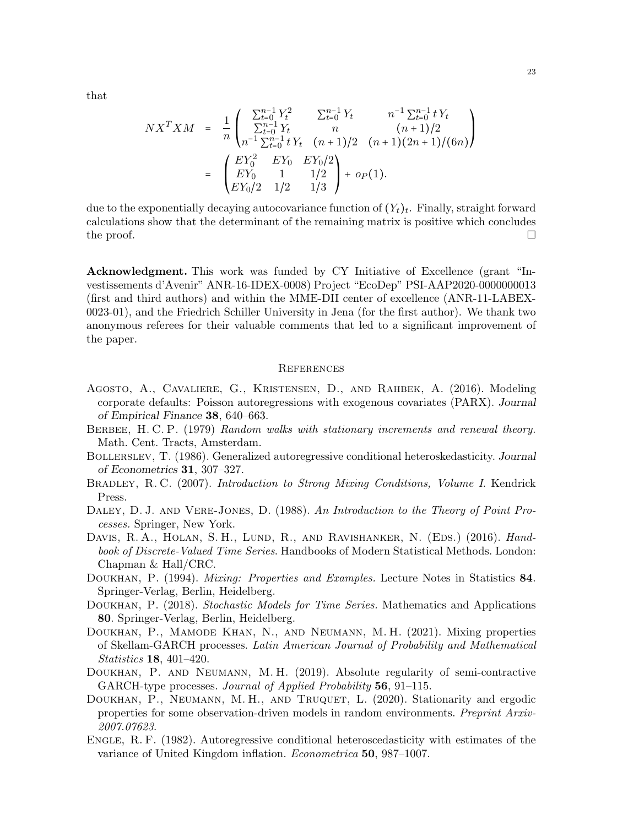that

$$
NX^TXM = \frac{1}{n} \begin{pmatrix} \sum_{t=0}^{n-1} Y_t^2 & \sum_{t=0}^{n-1} Y_t & n^{-1} \sum_{t=0}^{n-1} t Y_t \\ \sum_{t=0}^{n-1} Y_t & n & (n+1)/2 \\ n^{-1} \sum_{t=0}^{n-1} t Y_t & (n+1)/2 & (n+1)(2n+1)/(6n) \end{pmatrix}
$$
  
= 
$$
\begin{pmatrix} EY_0^2 & EY_0 & EY_0/2 \\ EY_0 & 1 & 1/2 \\ EY_0/2 & 1/2 & 1/3 \end{pmatrix} + op(1).
$$

due to the exponentially decaying autocovariance function of  $(Y_t)_t$ . Finally, straight forward calculations show that the determinant of the remaining matrix is positive which concludes the proof.  $\Box$ 

Acknowledgment. This work was funded by CY Initiative of Excellence (grant "Investissements d'Avenir" ANR-16-IDEX-0008) Project "EcoDep" PSI-AAP2020-0000000013 (first and third authors) and within the MME-DII center of excellence (ANR-11-LABEX-0023-01), and the Friedrich Schiller University in Jena (for the first author). We thank two anonymous referees for their valuable comments that led to a significant improvement of the paper.

### **REFERENCES**

- <span id="page-23-7"></span>Agosto, A., Cavaliere, G., Kristensen, D., and Rahbek, A. (2016). Modeling corporate defaults: Poisson autoregressions with exogenous covariates (PARX). Journal of Empirical Finance 38, 640–663.
- <span id="page-23-4"></span>BERBEE, H. C. P. (1979) Random walks with stationary increments and renewal theory. Math. Cent. Tracts, Amsterdam.
- <span id="page-23-1"></span>Bollerslev, T. (1986). Generalized autoregressive conditional heteroskedasticity. Journal of Econometrics 31, 307–327.
- <span id="page-23-11"></span>BRADLEY, R. C. (2007). Introduction to Strong Mixing Conditions, Volume I. Kendrick Press.
- <span id="page-23-6"></span>DALEY, D. J. AND VERE-JONES, D. (1988). An Introduction to the Theory of Point Processes. Springer, New York.
- <span id="page-23-2"></span>DAVIS, R. A., HOLAN, S. H., LUND, R., AND RAVISHANKER, N. (EDS.) (2016). Handbook of Discrete-Valued Time Series. Handbooks of Modern Statistical Methods. London: Chapman & Hall/CRC.
- <span id="page-23-5"></span>DOUKHAN, P. (1994). *Mixing: Properties and Examples*. Lecture Notes in Statistics 84. Springer-Verlag, Berlin, Heidelberg.
- <span id="page-23-10"></span>DOUKHAN, P. (2018). Stochastic Models for Time Series. Mathematics and Applications 80. Springer-Verlag, Berlin, Heidelberg.
- <span id="page-23-8"></span>Doukhan, P., Mamode Khan, N., and Neumann, M. H. (2021). Mixing properties of Skellam-GARCH processes. Latin American Journal of Probability and Mathematical Statistics 18, 401–420.
- <span id="page-23-3"></span>Doukhan, P. and Neumann, M. H. (2019). Absolute regularity of semi-contractive GARCH-type processes. Journal of Applied Probability 56, 91–115.
- <span id="page-23-9"></span>DOUKHAN, P., NEUMANN, M. H., AND TRUQUET, L. (2020). Stationarity and ergodic properties for some observation-driven models in random environments. Preprint Arxiv-2007.07623.
- <span id="page-23-0"></span>ENGLE, R. F. (1982). Autoregressive conditional heteroscedasticity with estimates of the variance of United Kingdom inflation. Econometrica 50, 987–1007.